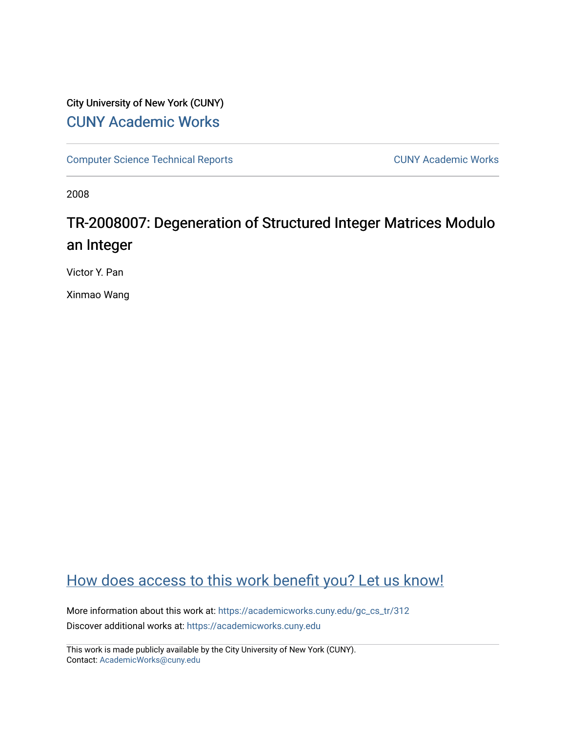## City University of New York (CUNY) [CUNY Academic Works](https://academicworks.cuny.edu/)

[Computer Science Technical Reports](https://academicworks.cuny.edu/gc_cs_tr) **CUNY Academic Works** CUNY Academic Works

2008

# TR-2008007: Degeneration of Structured Integer Matrices Modulo an Integer

Victor Y. Pan

Xinmao Wang

# [How does access to this work benefit you? Let us know!](http://ols.cuny.edu/academicworks/?ref=https://academicworks.cuny.edu/gc_cs_tr/312)

More information about this work at: [https://academicworks.cuny.edu/gc\\_cs\\_tr/312](https://academicworks.cuny.edu/gc_cs_tr/312)  Discover additional works at: [https://academicworks.cuny.edu](https://academicworks.cuny.edu/?)

This work is made publicly available by the City University of New York (CUNY). Contact: [AcademicWorks@cuny.edu](mailto:AcademicWorks@cuny.edu)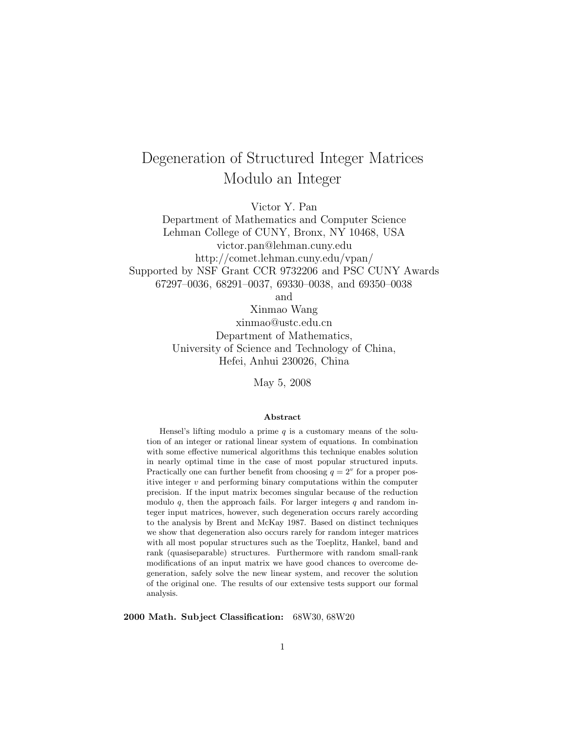# Degeneration of Structured Integer Matrices Modulo an Integer

Victor Y. Pan

Department of Mathematics and Computer Science Lehman College of CUNY, Bronx, NY 10468, USA victor.pan@lehman.cuny.edu http://comet.lehman.cuny.edu/vpan/ Supported by NSF Grant CCR 9732206 and PSC CUNY Awards 67297–0036, 68291–0037, 69330–0038, and 69350–0038

and

Xinmao Wang xinmao@ustc.edu.cn Department of Mathematics, University of Science and Technology of China, Hefei, Anhui 230026, China

May 5, 2008

#### **Abstract**

Hensel's lifting modulo a prime  $q$  is a customary means of the solution of an integer or rational linear system of equations. In combination with some effective numerical algorithms this technique enables solution in nearly optimal time in the case of most popular structured inputs. Practically one can further benefit from choosing  $q = 2^v$  for a proper positive integer *v* and performing binary computations within the computer precision. If the input matrix becomes singular because of the reduction modulo  $q$ , then the approach fails. For larger integers  $q$  and random integer input matrices, however, such degeneration occurs rarely according to the analysis by Brent and McKay 1987. Based on distinct techniques we show that degeneration also occurs rarely for random integer matrices with all most popular structures such as the Toeplitz, Hankel, band and rank (quasiseparable) structures. Furthermore with random small-rank modifications of an input matrix we have good chances to overcome degeneration, safely solve the new linear system, and recover the solution of the original one. The results of our extensive tests support our formal analysis.

**2000 Math. Subject Classification:** 68W30, 68W20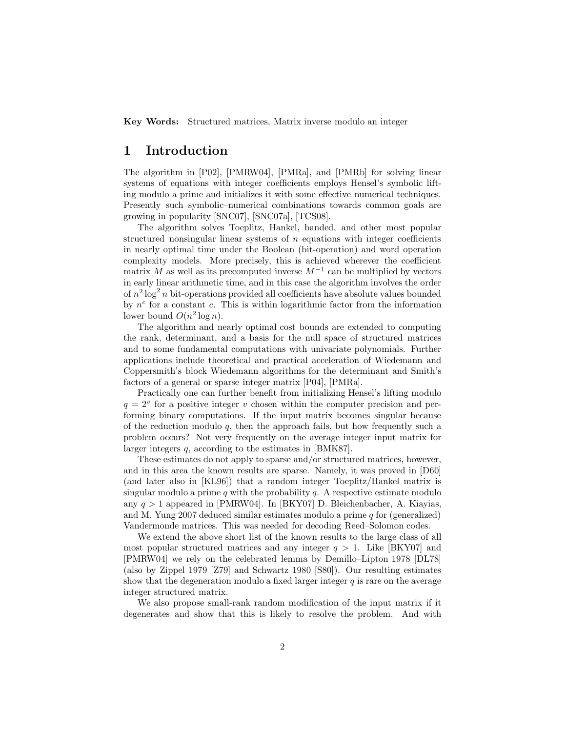**Key Words:** Structured matrices, Matrix inverse modulo an integer

### **1 Introduction**

The algorithm in [P02], [PMRW04], [PMRa], and [PMRb] for solving linear systems of equations with integer coefficients employs Hensel's symbolic lifting modulo a prime and initializes it with some effective numerical techniques. Presently such symbolic–numerical combinations towards common goals are growing in popularity [SNC07], [SNC07a], [TCS08].

The algorithm solves Toeplitz, Hankel, banded, and other most popular structured nonsingular linear systems of  $n$  equations with integer coefficients in nearly optimal time under the Boolean (bit-operation) and word operation complexity models. More precisely, this is achieved wherever the coefficient matrix M as well as its precomputed inverse  $M^{-1}$  can be multiplied by vectors in early linear arithmetic time, and in this case the algorithm involves the order of  $n^2 \log^2 n$  bit-operations provided all coefficients have absolute values bounded by  $n^c$  for a constant c. This is within logarithmic factor from the information lower bound  $O(n^2 \log n)$ .

The algorithm and nearly optimal cost bounds are extended to computing the rank, determinant, and a basis for the null space of structured matrices and to some fundamental computations with univariate polynomials. Further applications include theoretical and practical acceleration of Wiedemann and Coppersmith's block Wiedemann algorithms for the determinant and Smith's factors of a general or sparse integer matrix [P04], [PMRa].

Practically one can further benefit from initializing Hensel's lifting modulo  $q = 2^v$  for a positive integer v chosen within the computer precision and performing binary computations. If the input matrix becomes singular because of the reduction modulo  $q$ , then the approach fails, but how frequently such a problem occurs? Not very frequently on the average integer input matrix for larger integers q, according to the estimates in [BMK87].

These estimates do not apply to sparse and/or structured matrices, however, and in this area the known results are sparse. Namely, it was proved in [D60] (and later also in [KL96]) that a random integer Toeplitz/Hankel matrix is singular modulo a prime q with the probability  $q$ . A respective estimate modulo any  $q > 1$  appeared in [PMRW04]. In [BKY07] D. Bleichenbacher, A. Kiayias, and M. Yung 2007 deduced similar estimates modulo a prime  $q$  for (generalized) Vandermonde matrices. This was needed for decoding Reed–Solomon codes.

We extend the above short list of the known results to the large class of all most popular structured matrices and any integer  $q > 1$ . Like [BKY07] and [PMRW04] we rely on the celebrated lemma by Demillo–Lipton 1978 [DL78] (also by Zippel 1979 [Z79] and Schwartz 1980 [S80]). Our resulting estimates show that the degeneration modulo a fixed larger integer  $q$  is rare on the average integer structured matrix.

We also propose small-rank random modification of the input matrix if it degenerates and show that this is likely to resolve the problem. And with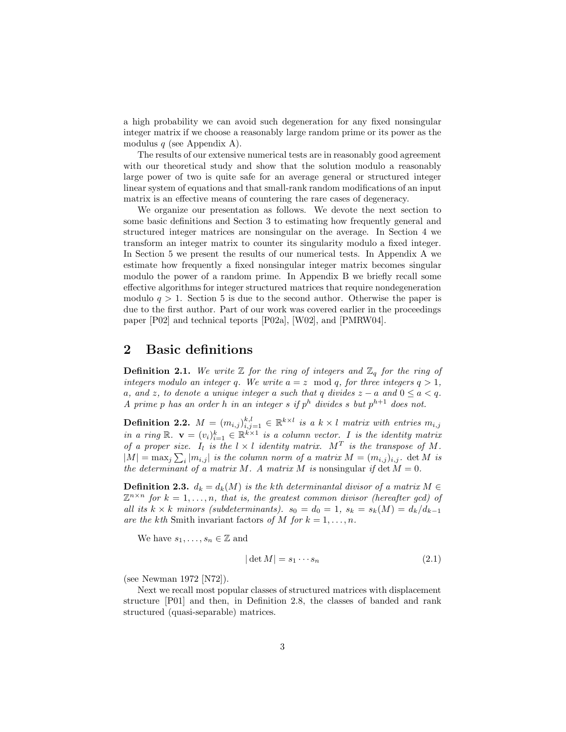a high probability we can avoid such degeneration for any fixed nonsingular integer matrix if we choose a reasonably large random prime or its power as the modulus  $q$  (see Appendix A).

The results of our extensive numerical tests are in reasonably good agreement with our theoretical study and show that the solution modulo a reasonably large power of two is quite safe for an average general or structured integer linear system of equations and that small-rank random modifications of an input matrix is an effective means of countering the rare cases of degeneracy.

We organize our presentation as follows. We devote the next section to some basic definitions and Section 3 to estimating how frequently general and structured integer matrices are nonsingular on the average. In Section 4 we transform an integer matrix to counter its singularity modulo a fixed integer. In Section 5 we present the results of our numerical tests. In Appendix A we estimate how frequently a fixed nonsingular integer matrix becomes singular modulo the power of a random prime. In Appendix B we briefly recall some effective algorithms for integer structured matrices that require nondegeneration modulo  $q > 1$ . Section 5 is due to the second author. Otherwise the paper is due to the first author. Part of our work was covered earlier in the proceedings paper [P02] and technical teports [P02a], [W02], and [PMRW04].

### **2 Basic definitions**

**Definition 2.1.** We write  $\mathbb{Z}$  for the ring of integers and  $\mathbb{Z}_q$  for the ring of *integers modulo an integer q.* We write  $a = z \mod q$ , for three integers  $q > 1$ , a, and z, to denote a unique integer a such that q divides  $z - a$  and  $0 \le a < q$ . *A* prime p has an order h in an integer s if  $p^h$  divides s but  $p^{h+1}$  does not.

**Definition 2.2.**  $M = (m_{i,j})_{i,j=1}^{k,l} \in \mathbb{R}^{k \times l}$  is a  $k \times l$  matrix with entries  $m_{i,j}$ *in a ring*  $\mathbb{R}$ .  $\mathbf{v} = (v_i)_{i=1}^k \in \mathbb{R}^{k \times 1}$  *is a column vector.* I *is the identity matrix of a proper size.*  $I_l$  *is the*  $l \times l$  *identity matrix.*  $M^T$  *is the transpose of*  $M$ *.*  $|M| = \max_j \sum_i |m_{i,j}|$  *is the column norm of a matrix*  $M = (m_{i,j})_{i,j}$ *.* det M *is the determinant of a matrix* M. A matrix M *is* nonsingular *if* det  $M = 0$ .

**Definition 2.3.**  $d_k = d_k(M)$  *is the kth determinantal divisor of a matrix*  $M \in$  $\mathbb{Z}^{n \times n}$  for  $k = 1, \ldots, n$ , that is, the greatest common divisor (hereafter gcd) of *all its*  $k \times k$  *minors (subdeterminants).*  $s_0 = d_0 = 1$ ,  $s_k = s_k(M) = d_k/d_{k-1}$ *are the kth* Smith invariant factors of M for  $k = 1, \ldots, n$ .

We have  $s_1, \ldots, s_n \in \mathbb{Z}$  and

$$
|\det M| = s_1 \cdots s_n \tag{2.1}
$$

(see Newman 1972 [N72]).

Next we recall most popular classes of structured matrices with displacement structure [P01] and then, in Definition 2.8, the classes of banded and rank structured (quasi-separable) matrices.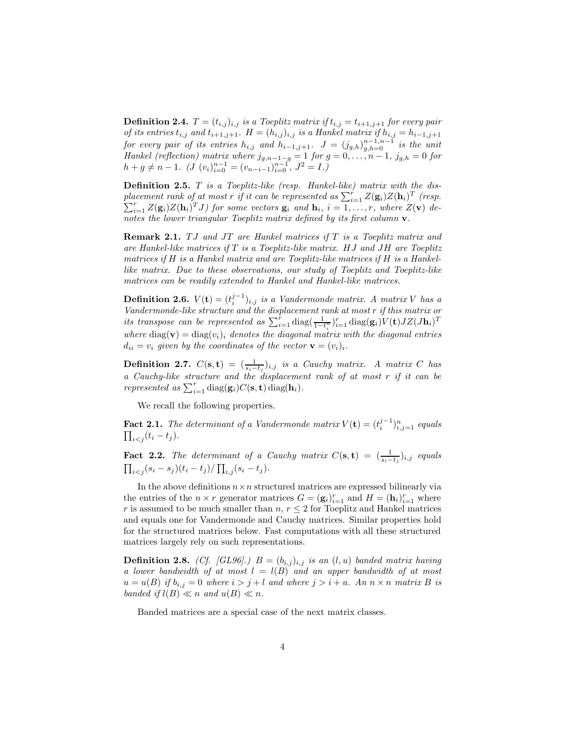**Definition 2.4.**  $T = (t_{i,j})_{i,j}$  *is a Toeplitz matrix if*  $t_{i,j} = t_{i+1,j+1}$  *for every pair of its entries*  $t_{i,j}$  *and*  $t_{i+1,j+1}$ *.*  $H = (h_{i,j})_{i,j}$  *is a Hankel matrix if*  $h_{i,j} = h_{i-1,j+1}$ *for every pair of its entries*  $h_{i,j}$  *and*  $h_{i-1,j+1}$ .  $J = (j_{g,h})_{g,h=0}^{n-1,n-1}$  *is the unit Hankel (reflection)* matrix where  $j_{g,n-1-g} = 1$  *for*  $g = 0, \ldots, n-1$ ,  $j_{g,h} = 0$  *for*  $h + g \neq n - 1$ *.*  $(J (v_i)_{i=0}^{n-1} = (v_{n-i-1})_{i=0}^{n-1}$ ,  $J^2 = I$ .)

**Definition 2.5.** T *is a Toeplitz-like (resp. Hankel-like) matrix with the dis*placement rank of at most r if it can be represented as  $\sum_{i=1}^{r} Z(\mathbf{g}_i)Z(\mathbf{h}_i)^T$  (resp.  $\sum_{i=1}^{r} Z(\mathbf{g}_i)Z(\mathbf{h}_i)^T J$  for some vectors  $\mathbf{g}_i$  and  $\mathbf{h}_i$ ,  $i = 1, \ldots, r$ , where  $Z(\mathbf{v})$  de*notes the lower triangular Toeplitz matrix defined by its first column* **v***.*

**Remark 2.1.** TJ and JT are Hankel matrices if T is a Toeplitz matrix and *are Hankel-like matrices if* T *is a Toeplitz-like matrix.* HJ *and* JH *are Toeplitz matrices if* H *is a Hankel matrix and are Toeplitz-like matrices if* H *is a Hankellike matrix. Due to these observations, our study of Toeplitz and Toeplitz-like matrices can be readily extended to Hankel and Hankel-like matrices.*

**Definition 2.6.**  $V(\mathbf{t}) = (t_i^{j-1})_{i,j}$  *is a Vandermonde matrix. A matrix* V *has a Vandermonde-like structure and the displacement rank at most* r *if this matrix or its transpose can be represented as*  $\sum_{i=1}^{r} \text{diag}(\frac{1}{1-t_i^n})_{i=1}^r \text{diag}(\mathbf{g}_i) V(\mathbf{t}) J Z (J \mathbf{h}_i)^T$ *i where* diag(**v**) = diag( $v_i$ )<sub>i</sub> *denotes the diagonal matrix with the diagonal entries*  $d_{ii} = v_i$  given by the coordinates of the vector  $\mathbf{v} = (v_i)_i$ .

**Definition 2.7.**  $C(\mathbf{s}, \mathbf{t}) = (\frac{1}{s_i - t_j})_{i,j}$  *is a Cauchy matrix. A matrix* C has *a Cauchy-like structure and the displacement rank of at most* r *if it can be*  $represented \; as \; \sum_{i=1}^{r} \text{diag}(\mathbf{g}_i)C(\mathbf{s}, \mathbf{t}) \; \text{diag}(\mathbf{h}_i)$ .

We recall the following properties.

**Fact 2.1.** *The determinant of a Vandermonde matrix*  $V(\mathbf{t}) = (t_i^{j-1})_{i,j=1}^n$  *equals*  $\prod_{i < j} (t_i - t_j).$ 

**Fact 2.2.** *The determinant of a Cauchy matrix*  $C(\mathbf{s}, \mathbf{t}) = (\frac{1}{s_i - t_j})_{i,j}$  *equals*  $\prod_{i < j} (s_i - s_j)(t_i - t_j) / \prod_{i,j} (s_i - t_j).$ 

In the above definitions  $n \times n$  structured matrices are expressed bilinearly via the entries of the  $n \times r$  generator matrices  $G = (\mathbf{g}_i)_{i=1}^r$  and  $H = (\mathbf{h}_i)_{i=1}^r$  where r is assumed to be much smaller than  $n, r \leq 2$  for Toeplitz and Hankel matrices and equals one for Vandermonde and Cauchy matrices. Similar properties hold for the structured matrices below. Fast computations with all these structured matrices largely rely on such representations.

**Definition 2.8.** *(Cf. [GL96].)*  $B = (b_{i,j})_{i,j}$  *is an*  $(l, u)$  *banded matrix having a lower bandwidth of at most* l = l(B) *and an upper bandwidth of at most*  $u = u(B)$  if  $b_{i,j} = 0$  where  $i > j + l$  and where  $j > i + u$ . An  $n \times n$  matrix B is *banded if*  $l(B) \ll n$  *and*  $u(B) \ll n$ *.* 

Banded matrices are a special case of the next matrix classes.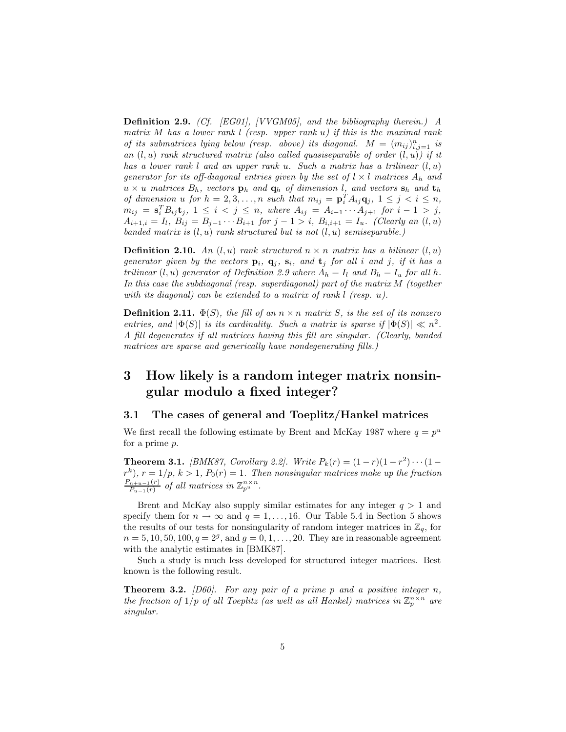**Definition 2.9.** *(Cf. [EG01], [VVGM05], and the bibliography therein.) A matrix* M *has a lower rank* l *(resp. upper rank* u*) if this is the maximal rank of its submatrices lying below (resp. above) its diagonal.*  $M = (m_{ij})_{i,j=1}^n$  *is an* (l, u) *rank structured matrix (also called quasiseparable of order* (l, u)*) if it has a lower rank* l *and an upper rank* u*. Such a matrix has a trilinear* (l, u) *generator for its off-diagonal entries given by the set of*  $l \times l$  *matrices*  $A_h$  *and*  $u \times u$  *matrices*  $B_h$ *, vectors*  $\mathbf{p}_h$  *and*  $\mathbf{q}_h$  *of dimension l, and vectors*  $\mathbf{s}_h$  *and*  $\mathbf{t}_h$ *of dimension*  $u$  *for*  $h = 2, 3, \ldots, n$  *such that*  $m_{ij} = \mathbf{p}_i^T A_{ij} \mathbf{q}_j$ ,  $1 \leq j \leq i \leq n$ ,  $m_{ij} = \mathbf{s}_i^T B_{ij} \mathbf{t}_j, \ 1 \leq i \, 1 \leq j \leq n, \ where \ A_{ij} = A_{i-1} \cdots A_{j+1} \ for \ i-1 \, > \, j,$  $A_{i+1,i} = I_l, B_{ij} = B_{j-1} \cdots B_{i+1}$  *for*  $j - 1 > i$ *,*  $B_{i,i+1} = I_u$ *. (Clearly an*  $(l, u)$ ) *banded matrix is* (l, u) *rank structured but is not* (l, u) *semiseparable.)*

**Definition 2.10.** An  $(l, u)$  rank structured  $n \times n$  matrix has a bilinear  $(l, u)$ *generator given by the vectors*  $\mathbf{p}_i$ ,  $\mathbf{q}_j$ ,  $\mathbf{s}_i$ , and  $\mathbf{t}_j$  for all i and j, if it has a *trilinear*  $(l, u)$  *generator of Definition 2.9 where*  $A_h = I_l$  *and*  $B_h = I_u$  *for all* h. *In this case the subdiagonal (resp. superdiagonal) part of the matrix* M *(together with its diagonal) can be extended to a matrix of rank* l *(resp.* u*).*

**Definition 2.11.**  $\Phi(S)$ *, the fill of an*  $n \times n$  *matrix* S*, is the set of its nonzero entries, and*  $|\Phi(S)|$  *is its cardinality. Such a matrix is sparse if*  $|\Phi(S)| \ll n^2$ . *A fill degenerates if all matrices having this fill are singular. (Clearly, banded matrices are sparse and generically have nondegenerating fills.)*

### **3 How likely is a random integer matrix nonsingular modulo a fixed integer?**

#### **3.1 The cases of general and Toeplitz/Hankel matrices**

We first recall the following estimate by Brent and McKay 1987 where  $q = p^u$ for a prime p.

**Theorem 3.1.** *[BMK87, Corollary 2.2]. Write*  $P_k(r) = (1 - r)(1 - r^2) \cdots (1 - r^2)$  $r^{k}$ ,  $r = 1/p$ ,  $k > 1$ ,  $P_0(r) = 1$ . Then nonsingular matrices make up the fraction  $\frac{P_{n+u-1}(r)}{P_{u-1}(r)}$  *of all matrices in*  $\mathbb{Z}_{p^u}^{n \times n}$ *.* 

Brent and McKay also supply similar estimates for any integer  $q > 1$  and specify them for  $n \to \infty$  and  $q = 1, \ldots, 16$ . Our Table 5.4 in Section 5 shows the results of our tests for nonsingularity of random integer matrices in  $\mathbb{Z}_q$ , for  $n = 5, 10, 50, 100, q = 2<sup>g</sup>$ , and  $q = 0, 1, ..., 20$ . They are in reasonable agreement with the analytic estimates in [BMK87].

Such a study is much less developed for structured integer matrices. Best known is the following result.

**Theorem 3.2.** *[D60]. For any pair of a prime* p *and a positive integer* n*, the fraction of*  $1/p$  *of all Toeplitz (as well as all Hankel) matrices in*  $\mathbb{Z}_p^{n \times n}$  *are singular.*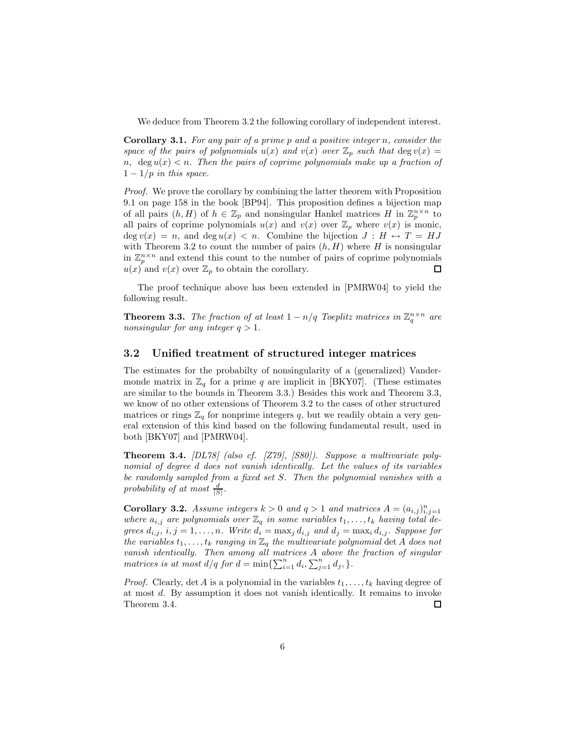We deduce from Theorem 3.2 the following corollary of independent interest.

**Corollary 3.1.** *For any pair of a prime* p *and a positive integer* n*, consider the space of the pairs of polynomials*  $u(x)$  *and*  $v(x)$  *over*  $\mathbb{Z}_p$  *such that* deg  $v(x)$  = n,  $\deg u(x) < n$ . Then the pairs of coprime polynomials make up a fraction of  $1 - 1/p$  *in this space.* 

*Proof.* We prove the corollary by combining the latter theorem with Proposition 9.1 on page 158 in the book [BP94]. This proposition defines a bijection map of all pairs  $(h, H)$  of  $h \in \mathbb{Z}_p$  and nonsingular Hankel matrices H in  $\mathbb{Z}_p^{n \times n}$  to all pairs of coprime polynomials  $u(x)$  and  $v(x)$  over  $\mathbb{Z}_p$  where  $v(x)$  is monic,  $\deg v(x) = n$ , and  $\deg u(x) < n$ . Combine the bijection  $J : H \leftrightarrow T = HJ$ with Theorem 3.2 to count the number of pairs  $(h, H)$  where H is nonsingular in  $\mathbb{Z}_p^{n \times n}$  and extend this count to the number of pairs of coprime polynomials  $u(x)$  and  $v(x)$  over  $\mathbb{Z}_p$  to obtain the corollary.  $\Box$ 

The proof technique above has been extended in [PMRW04] to yield the following result.

**Theorem 3.3.** *The fraction of at least*  $1 - n/q$  *Toeplitz matrices in*  $\mathbb{Z}_q^{n \times n}$  *are nonsingular for any integer*  $q > 1$ *.* 

#### **3.2 Unified treatment of structured integer matrices**

The estimates for the probabilty of nonsingularity of a (generalized) Vandermonde matrix in  $\mathbb{Z}_q$  for a prime q are implicit in [BKY07]. (These estimates are similar to the bounds in Theorem 3.3.) Besides this work and Theorem 3.3, we know of no other extensions of Theorem 3.2 to the cases of other structured matrices or rings  $\mathbb{Z}_q$  for nonprime integers q, but we readily obtain a very general extension of this kind based on the following fundamental result, used in both [BKY07] and [PMRW04].

**Theorem 3.4.** *[DL78] (also cf. [Z79], [S80]). Suppose a multivariate polynomial of degree* d *does not vanish identically. Let the values of its variables be randomly sampled from a fixed set* S*. Then the polynomial vanishes with a* probability of at most  $\frac{d}{|S|}$ .

**Corollary 3.2.** *Assume integers*  $k > 0$  *and*  $q > 1$  *and matrices*  $A = (a_{i,j})_{i,j=1}^n$ *where*  $a_{i,j}$  are polynomials over  $\mathbb{Z}_q$  in some variables  $t_1, \ldots, t_k$  having total de*grees*  $d_{i,j}$ ,  $i, j = 1, \ldots, n$ *. Write*  $d_i = \max_j d_{i,j}$  *and*  $d_j = \max_i d_{i,j}$ *. Suppose for the variables*  $t_1, \ldots, t_k$  *ranging in*  $\mathbb{Z}_q$  *the multivariate polynomial* det A *does not vanish identically. Then among all matrices* A *above the fraction of singular matrices is at most*  $d/q$  *for*  $d = \min\{\sum_{i=1}^{n} d_i, \sum_{j=1}^{n} d_j, \}$ .

*Proof.* Clearly, det A is a polynomial in the variables  $t_1, \ldots, t_k$  having degree of at most d. By assumption it does not vanish identically. It remains to invoke Theorem 3.4. 口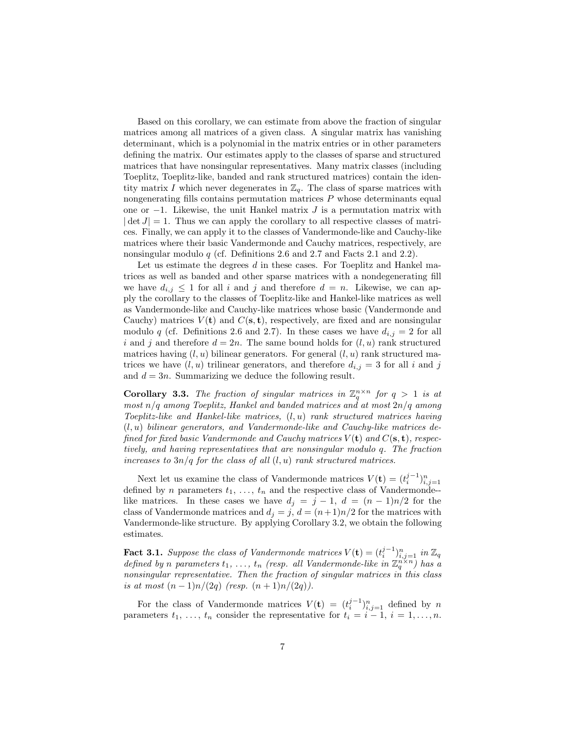Based on this corollary, we can estimate from above the fraction of singular matrices among all matrices of a given class. A singular matrix has vanishing determinant, which is a polynomial in the matrix entries or in other parameters defining the matrix. Our estimates apply to the classes of sparse and structured matrices that have nonsingular representatives. Many matrix classes (including Toeplitz, Toeplitz-like, banded and rank structured matrices) contain the identity matrix I which never degenerates in  $\mathbb{Z}_q$ . The class of sparse matrices with nongenerating fills contains permutation matrices  $P$  whose determinants equal one or  $-1$ . Likewise, the unit Hankel matrix J is a permutation matrix with  $|\det J| = 1$ . Thus we can apply the corollary to all respective classes of matrices. Finally, we can apply it to the classes of Vandermonde-like and Cauchy-like matrices where their basic Vandermonde and Cauchy matrices, respectively, are nonsingular modulo q (cf. Definitions 2.6 and 2.7 and Facts 2.1 and 2.2).

Let us estimate the degrees d in these cases. For Toeplitz and Hankel matrices as well as banded and other sparse matrices with a nondegenerating fill we have  $d_{i,j} \leq 1$  for all i and j and therefore  $d = n$ . Likewise, we can apply the corollary to the classes of Toeplitz-like and Hankel-like matrices as well as Vandermonde-like and Cauchy-like matrices whose basic (Vandermonde and Cauchy) matrices  $V(t)$  and  $C(s, t)$ , respectively, are fixed and are nonsingular modulo q (cf. Definitions 2.6 and 2.7). In these cases we have  $d_{i,j} = 2$  for all i and j and therefore  $d = 2n$ . The same bound holds for  $(l, u)$  rank structured matrices having  $(l, u)$  bilinear generators. For general  $(l, u)$  rank structured matrices we have  $(l, u)$  trilinear generators, and therefore  $d_{i,j} = 3$  for all i and j and  $d = 3n$ . Summarizing we deduce the following result.

**Corollary 3.3.** *The fraction of singular matrices in*  $\mathbb{Z}_q^{n \times n}$  *for*  $q > 1$  *is at most* n/q *among Toeplitz, Hankel and banded matrices and at most* 2n/q *among Toeplitz-like and Hankel-like matrices,* (l, u) *rank structured matrices having* (l, u) *bilinear generators, and Vandermonde-like and Cauchy-like matrices defined for fixed basic Vandermonde and Cauchy matrices* V (**t**) *and* C(**s**, **t**)*, respectively, and having representatives that are nonsingular modulo* q*. The fraction increases to* 3n/q *for the class of all* (l, u) *rank structured matrices.*

Next let us examine the class of Vandermonde matrices  $V(\mathbf{t}) = (t_i^{j-1})_{i,j=1}^n$ defined by n parameters  $t_1, \ldots, t_n$  and the respective class of Vandermonde-like matrices. In these cases we have  $d_j = j - 1$ ,  $d = (n - 1)n/2$  for the class of Vandermonde matrices and  $d_j = j$ ,  $d = (n+1)n/2$  for the matrices with Vandermonde-like structure. By applying Corollary 3.2, we obtain the following estimates.

**Fact 3.1.** Suppose the class of Vandermonde matrices  $V(\mathbf{t}) = (t_i^{j-1})_{i,j=1}^n$  in  $\mathbb{Z}_q$ *defined by n* parameters  $t_1, \ldots, t_n$  (resp. all Vandermonde-like in  $\mathbb{Z}_q^{n \times n}$ ) has a *nonsingular representative. Then the fraction of singular matrices in this class is at most*  $(n-1)n/(2q)$  *(resp.*  $(n+1)n/(2q)$ *).* 

For the class of Vandermonde matrices  $V(\mathbf{t}) = (t_i^{j-1})_{i,j=1}^n$  defined by n parameters  $t_1, \ldots, t_n$  consider the representative for  $t_i = i - 1, i = 1, \ldots, n$ .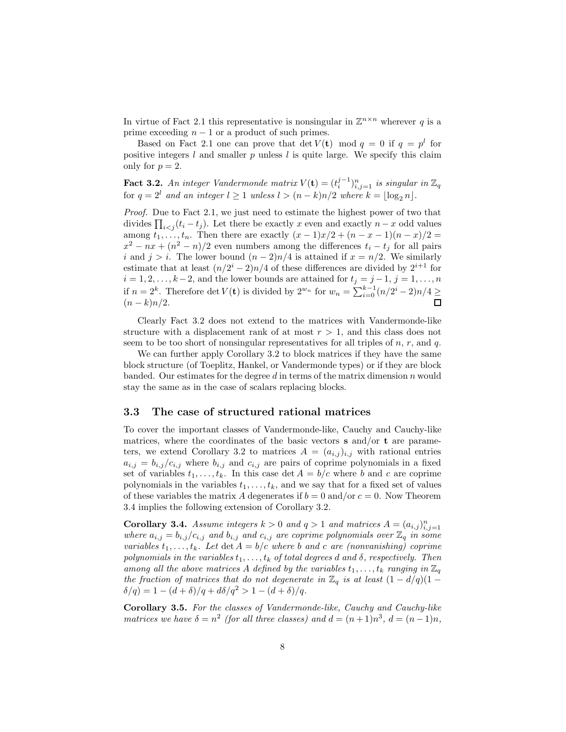In virtue of Fact 2.1 this representative is nonsingular in  $\mathbb{Z}^{n \times n}$  wherever q is a prime exceeding  $n - 1$  or a product of such primes.

Based on Fact 2.1 one can prove that det  $V(\mathbf{t})$  mod  $q = 0$  if  $q = p^l$  for positive integers  $l$  and smaller  $p$  unless  $l$  is quite large. We specify this claim only for  $p = 2$ .

**Fact 3.2.** An integer Vandermonde matrix  $V(\mathbf{t}) = (t_i^{j-1})_{i,j=1}^n$  is singular in  $\mathbb{Z}_q$ for  $q = 2^l$  and an integer  $l \ge 1$  unless  $l > (n - k)n/2$  where  $k = \lfloor \log_2 n \rfloor$ .

*Proof.* Due to Fact 2.1, we just need to estimate the highest power of two that divides  $\prod_{i < j} (t_i - t_j)$ . Let there be exactly x even and exactly  $n - x$  odd values among  $t_1, \ldots, t_n$ . Then there are exactly  $(x - 1)x/2 + (n - x - 1)(n - x)/2 =$  $x^2 - nx + (n^2 - n)/2$  even numbers among the differences  $t_i - t_j$  for all pairs i and  $j>i$ . The lower bound  $(n-2)n/4$  is attained if  $x = n/2$ . We similarly estimate that at least  $(n/2^{i} - 2)n/4$  of these differences are divided by  $2^{i+1}$  for  $i = 1, 2, \ldots, k-2$ , and the lower bounds are attained for  $t_j = j-1, j = 1, \ldots, n$ if  $n = 2<sup>k</sup>$ . Therefore det  $V(t)$  is divided by  $2<sup>w<sub>n</sub></sup>$  for  $w<sub>n</sub> = \sum_{i=0}^{k-1} (n/2<sup>i</sup> - 2)n/4 \ge$  $(n - k)n/2$ .

Clearly Fact 3.2 does not extend to the matrices with Vandermonde-like structure with a displacement rank of at most  $r > 1$ , and this class does not seem to be too short of nonsingular representatives for all triples of  $n, r$ , and  $q$ .

We can further apply Corollary 3.2 to block matrices if they have the same block structure (of Toeplitz, Hankel, or Vandermonde types) or if they are block banded. Our estimates for the degree  $d$  in terms of the matrix dimension  $n$  would stay the same as in the case of scalars replacing blocks.

#### **3.3 The case of structured rational matrices**

To cover the important classes of Vandermonde-like, Cauchy and Cauchy-like matrices, where the coordinates of the basic vectors **s** and/or **t** are parameters, we extend Corollary 3.2 to matrices  $A = (a_{i,j})_{i,j}$  with rational entries  $a_{i,j} = b_{i,j}/c_{i,j}$  where  $b_{i,j}$  and  $c_{i,j}$  are pairs of coprime polynomials in a fixed set of variables  $t_1, \ldots, t_k$ . In this case det  $A = b/c$  where b and c are coprime polynomials in the variables  $t_1, \ldots, t_k$ , and we say that for a fixed set of values of these variables the matrix A degenerates if  $b = 0$  and/or  $c = 0$ . Now Theorem 3.4 implies the following extension of Corollary 3.2.

**Corollary 3.4.** *Assume integers*  $k > 0$  *and*  $q > 1$  *and matrices*  $A = (a_{i,j})_{i,j=1}^n$ *where*  $a_{i,j} = b_{i,j}/c_{i,j}$  *and*  $b_{i,j}$  *and*  $c_{i,j}$  *are coprime polynomials over*  $\mathbb{Z}_q$  *in some variables*  $t_1, \ldots, t_k$ *. Let*  $\det A = b/c$  *where b and c are (nonvanishing) coprime polynomials in the variables*  $t_1, \ldots, t_k$  *of total degrees* d and  $\delta$ , respectively. Then *among all the above matrices* A *defined by the variables*  $t_1, \ldots, t_k$  *ranging in*  $\mathbb{Z}_q$ *the fraction of matrices that do not degenerate in*  $\mathbb{Z}_q$  *is at least*  $(1 - d/q)(1 \delta/q$ ) = 1 –  $(d + \delta)/q + d\delta/q^2 > 1 - (d + \delta)/q$ .

**Corollary 3.5.** *For the classes of Vandermonde-like, Cauchy and Cauchy-like matrices we have*  $\delta = n^2$  *(for all three classes) and*  $d = (n+1)n^3$ ,  $d = (n-1)n$ ,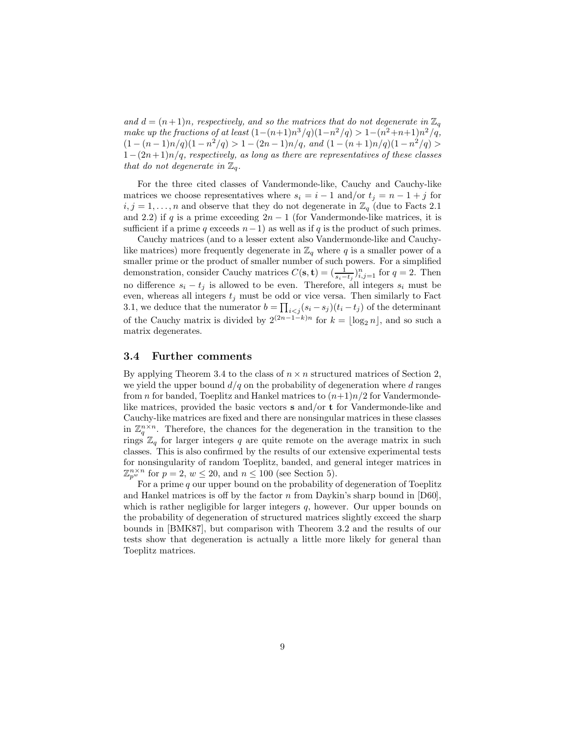and  $d = (n+1)n$ , respectively, and so the matrices that do not degenerate in  $\mathbb{Z}_q$ *make up the fractions of at least*  $(1-(n+1)n^3/q)(1-n^2/q) > 1-(n^2+n+1)n^2/q$ ,  $(1 - (n-1)n/q)(1 - n^2/q) > 1 - (2n-1)n/q$ , and  $(1 - (n+1)n/q)(1 - n^2/q)$ 1−(2n+ 1)n/q*, respectively, as long as there are representatives of these classes that do not degenerate in*  $\mathbb{Z}_q$ *.* 

For the three cited classes of Vandermonde-like, Cauchy and Cauchy-like matrices we choose representatives where  $s_i = i - 1$  and/or  $t_j = n - 1 + j$  for  $i, j = 1, \ldots, n$  and observe that they do not degenerate in  $\mathbb{Z}_q$  (due to Facts 2.1) and 2.2) if q is a prime exceeding  $2n-1$  (for Vandermonde-like matrices, it is sufficient if a prime q exceeds  $n-1$ ) as well as if q is the product of such primes.

Cauchy matrices (and to a lesser extent also Vandermonde-like and Cauchylike matrices) more frequently degenerate in  $\mathbb{Z}_q$  where q is a smaller power of a smaller prime or the product of smaller number of such powers. For a simplified demonstration, consider Cauchy matrices  $C(\mathbf{s}, \mathbf{t}) = (\frac{1}{s_i - t_j})_{i,j=1}^n$  for  $q = 2$ . Then no difference  $s_i - t_j$  is allowed to be even. Therefore, all integers  $s_i$  must be even, whereas all integers  $t_j$  must be odd or vice versa. Then similarly to Fact 3.1, we deduce that the numerator  $b = \prod_{i < j} (s_i - s_j)(t_i - t_j)$  of the determinant of the Cauchy matrix is divided by  $2^{(2n-1-k)n}$  for  $k = \lfloor \log_2 n \rfloor$ , and so such a matrix degenerates.

#### **3.4 Further comments**

By applying Theorem 3.4 to the class of  $n \times n$  structured matrices of Section 2, we yield the upper bound  $d/q$  on the probability of degeneration where d ranges from *n* for banded, Toeplitz and Hankel matrices to  $(n+1)n/2$  for Vandermondelike matrices, provided the basic vectors **s** and/or **t** for Vandermonde-like and Cauchy-like matrices are fixed and there are nonsingular matrices in these classes in  $\mathbb{Z}_q^{n \times n}$ . Therefore, the chances for the degeneration in the transition to the rings  $\mathbb{Z}_q$  for larger integers q are quite remote on the average matrix in such classes. This is also confirmed by the results of our extensive experimental tests for nonsingularity of random Toeplitz, banded, and general integer matrices in  $\mathbb{Z}_{n^w}^{n \times n}$  for  $p = 2, w \le 20$ , and  $n \le 100$  (see Section 5).

For a prime  $q$  our upper bound on the probability of degeneration of Toeplitz and Hankel matrices is off by the factor n from Daykin's sharp bound in  $[D60]$ , which is rather negligible for larger integers  $q$ , however. Our upper bounds on the probability of degeneration of structured matrices slightly exceed the sharp bounds in [BMK87], but comparison with Theorem 3.2 and the results of our tests show that degeneration is actually a little more likely for general than Toeplitz matrices.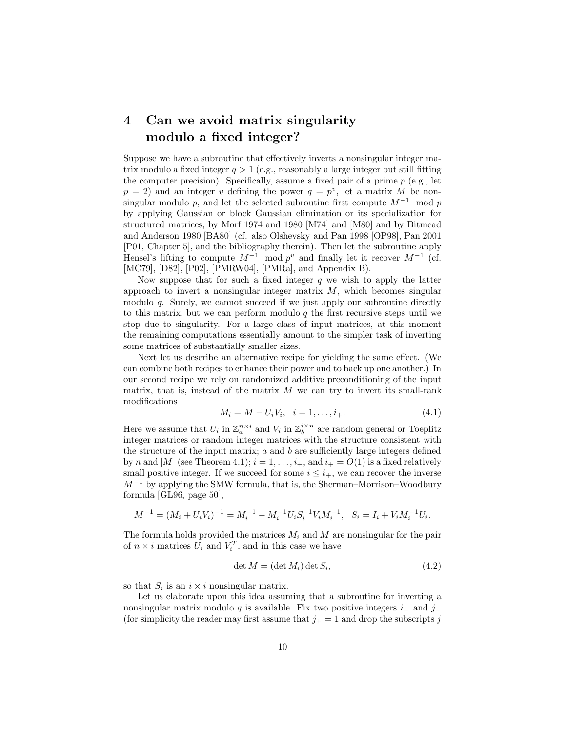## **4 Can we avoid matrix singularity modulo a fixed integer?**

Suppose we have a subroutine that effectively inverts a nonsingular integer matrix modulo a fixed integer  $q > 1$  (e.g., reasonably a large integer but still fitting the computer precision). Specifically, assume a fixed pair of a prime  $p$  (e.g., let  $p = 2$ ) and an integer v defining the power  $q = p^v$ , let a matrix M be nonsingular modulo p, and let the selected subroutine first compute  $M^{-1}$  mod p by applying Gaussian or block Gaussian elimination or its specialization for structured matrices, by Morf 1974 and 1980 [M74] and [M80] and by Bitmead and Anderson 1980 [BA80] (cf. also Olshevsky and Pan 1998 [OP98], Pan 2001 [P01, Chapter 5], and the bibliography therein). Then let the subroutine apply Hensel's lifting to compute  $M^{-1}$  mod  $p^v$  and finally let it recover  $M^{-1}$  (cf. [MC79], [D82], [P02], [PMRW04], [PMRa], and Appendix B).

Now suppose that for such a fixed integer  $q$  we wish to apply the latter approach to invert a nonsingular integer matrix  $M$ , which becomes singular modulo q. Surely, we cannot succeed if we just apply our subroutine directly to this matrix, but we can perform modulo  $q$  the first recursive steps until we stop due to singularity. For a large class of input matrices, at this moment the remaining computations essentially amount to the simpler task of inverting some matrices of substantially smaller sizes.

Next let us describe an alternative recipe for yielding the same effect. (We can combine both recipes to enhance their power and to back up one another.) In our second recipe we rely on randomized additive preconditioning of the input matrix, that is, instead of the matrix  $M$  we can try to invert its small-rank modifications

$$
M_i = M - U_i V_i, \quad i = 1, \dots, i_+.
$$
\n<sup>(4.1)</sup>

Here we assume that  $U_i$  in  $\mathbb{Z}_a^{n \times i}$  and  $V_i$  in  $\mathbb{Z}_b^{i \times n}$  are random general or Toeplitz integer matrices or random integer matrices with the structure consistent with the structure of the input matrix;  $a$  and  $b$  are sufficiently large integers defined by n and |M| (see Theorem 4.1);  $i = 1, \ldots, i_+$ , and  $i_+ = O(1)$  is a fixed relatively small positive integer. If we succeed for some  $i \leq i_{+}$ , we can recover the inverse  $M^{-1}$  by applying the SMW formula, that is, the Sherman–Morrison–Woodbury formula [GL96, page 50],

$$
M^{-1} = (M_i + U_i V_i)^{-1} = M_i^{-1} - M_i^{-1} U_i S_i^{-1} V_i M_i^{-1}, \quad S_i = I_i + V_i M_i^{-1} U_i.
$$

The formula holds provided the matrices  $M_i$  and  $M$  are nonsingular for the pair of  $n \times i$  matrices  $U_i$  and  $V_i^T$ , and in this case we have

$$
\det M = (\det M_i) \det S_i,
$$
\n(4.2)

so that  $S_i$  is an  $i \times i$  nonsingular matrix.

Let us elaborate upon this idea assuming that a subroutine for inverting a nonsingular matrix modulo q is available. Fix two positive integers  $i_+$  and  $j_+$ (for simplicity the reader may first assume that  $j_{+} = 1$  and drop the subscripts j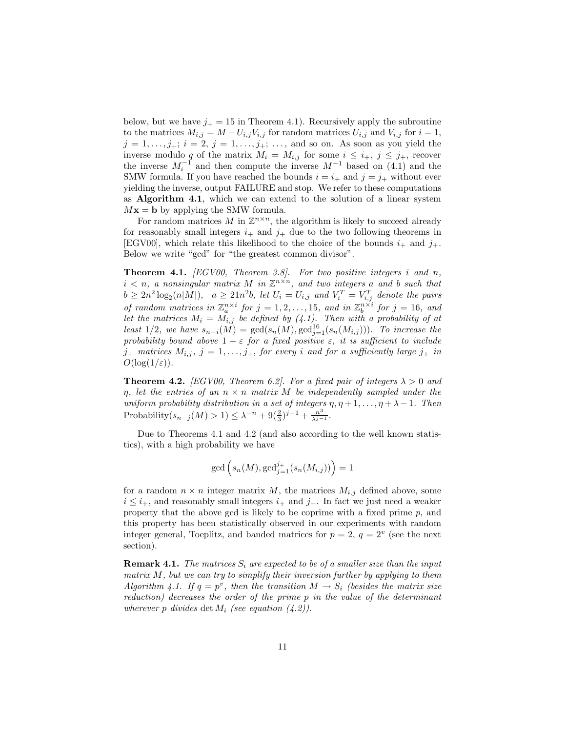below, but we have  $j_+ = 15$  in Theorem 4.1). Recursively apply the subroutine to the matrices  $M_{i,j} = M - U_{i,j}V_{i,j}$  for random matrices  $U_{i,j}$  and  $V_{i,j}$  for  $i = 1$ ,  $j = 1, \ldots, j_+; i = 2, j = 1, \ldots, j_+; \ldots$ , and so on. As soon as you yield the inverse modulo q of the matrix  $M_i = M_{i,j}$  for some  $i \leq i_+$ ,  $j \leq j_+$ , recover the inverse  $M_i^{-1}$  and then compute the inverse  $M^{-1}$  based on (4.1) and the SMW formula. If you have reached the bounds  $i = i_+$  and  $j = j_+$  without ever yielding the inverse, output FAILURE and stop. We refer to these computations as **Algorithm 4.1**, which we can extend to the solution of a linear system  $Mx = b$  by applying the SMW formula.

For random matrices M in  $\mathbb{Z}^{n \times n}$ , the algorithm is likely to succeed already for reasonably small integers  $i_+$  and  $j_+$  due to the two following theorems in [EGV00], which relate this likelihood to the choice of the bounds  $i_{+}$  and  $j_{+}$ . Below we write "gcd" for "the greatest common divisor".

**Theorem 4.1.** *[EGV00, Theorem 3.8]. For two positive integers* i *and* n*,*  $i < n$ , a nonsingular matrix M in  $\mathbb{Z}^{n \times n}$ , and two integers a and b such that  $b \geq 2n^2 \log_2(n|M|)$ ,  $a \geq 21n^2b$ , let  $U_i = U_{i,j}$  and  $V_i^T = V_{i,j}^T$  denote the pairs *of random matrices in*  $\mathbb{Z}_a^{n \times i}$  *for*  $j = 1, 2, ..., 15$ *, and in*  $\mathbb{Z}_b^{n \times i}$  *for*  $j = 16$ *, and* let the matrices  $M_i = \tilde{M}_{i,j}$  be defined by (4.1). Then with a probability of at *least* 1/2, we have  $s_{n-i}(M) = \gcd(s_n(M), \gcd_{j=1}^{16}(s_n(M_{i,j})))$ . To increase the *probability bound above*  $1 - \varepsilon$  *for a fixed positive*  $\varepsilon$ *, it is sufficient to include*  $j_+$  matrices  $M_{i,j}$ ,  $j = 1, \ldots, j_+$ , for every *i* and for a sufficiently large  $j_+$  in  $O(\log(1/\varepsilon)).$ 

**Theorem 4.2.** *[EGV00, Theorem 6.2]. For a fixed pair of integers*  $\lambda > 0$  *and*  $\eta$ , let the entries of an  $n \times n$  matrix M be independently sampled under the *uniform probability distribution in a set of integers*  $\eta$ ,  $\eta$  + 1, ...,  $\eta$  +  $\lambda$  - 1*. Then* Probability $(s_{n-j}(M) > 1) \leq \lambda^{-n} + 9(\frac{2}{3})^{j-1} + \frac{n^3}{\lambda^{j-1}}$ .

Due to Theorems 4.1 and 4.2 (and also according to the well known statistics), with a high probability we have

$$
\gcd\left(s_n(M), \gcd_{j=1}^{j+}(s_n(M_{i,j}))\right) = 1
$$

for a random  $n \times n$  integer matrix M, the matrices  $M_{i,j}$  defined above, some  $i \leq i_{+}$ , and reasonably small integers  $i_{+}$  and  $j_{+}$ . In fact we just need a weaker property that the above gcd is likely to be coprime with a fixed prime  $p$ , and this property has been statistically observed in our experiments with random integer general, Toeplitz, and banded matrices for  $p = 2$ ,  $q = 2^v$  (see the next section).

**Remark 4.1.** *The matrices*  $S_i$  *are expected to be of a smaller size than the input matrix* M*, but we can try to simplify their inversion further by applying to them Algorithm 4.1. If*  $q = p^v$ , then the transition  $M \rightarrow S_i$  *(besides the matrix size reduction) decreases the order of the prime* p *in the value of the determinant wherever* p *divides* det  $M_i$  *(see equation (4.2)).*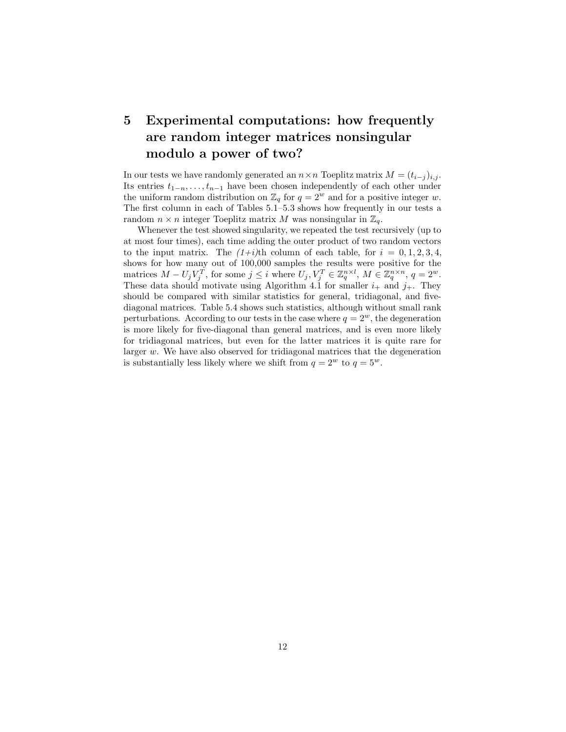## **5 Experimental computations: how frequently are random integer matrices nonsingular modulo a power of two?**

In our tests we have randomly generated an  $n \times n$  Toeplitz matrix  $M = (t_{i-j})_{i,j}$ . Its entries  $t_{1-n},...,t_{n-1}$  have been chosen independently of each other under the uniform random distribution on  $\mathbb{Z}_q$  for  $q = 2^w$  and for a positive integer w. The first column in each of Tables 5.1–5.3 shows how frequently in our tests a random  $n \times n$  integer Toeplitz matrix M was nonsingular in  $\mathbb{Z}_q$ .

Whenever the test showed singularity, we repeated the test recursively (up to at most four times), each time adding the outer product of two random vectors to the input matrix. The  $(1+i)$ <sup>th</sup> column of each table, for  $i = 0, 1, 2, 3, 4$ , shows for how many out of 100,000 samples the results were positive for the matrices  $M - U_j V_j^T$ , for some  $j \leq i$  where  $U_j, V_j^T \in \mathbb{Z}_q^{n \times l}$ ,  $M \in \mathbb{Z}_q^{n \times n}$ ,  $q = 2^w$ . These data should motivate using Algorithm 4.1 for smaller  $i_+$  and  $j_+$ . They should be compared with similar statistics for general, tridiagonal, and fivediagonal matrices. Table 5.4 shows such statistics, although without small rank perturbations. According to our tests in the case where  $q = 2<sup>w</sup>$ , the degeneration is more likely for five-diagonal than general matrices, and is even more likely for tridiagonal matrices, but even for the latter matrices it is quite rare for larger w. We have also observed for tridiagonal matrices that the degeneration is substantially less likely where we shift from  $q = 2^w$  to  $q = 5^w$ .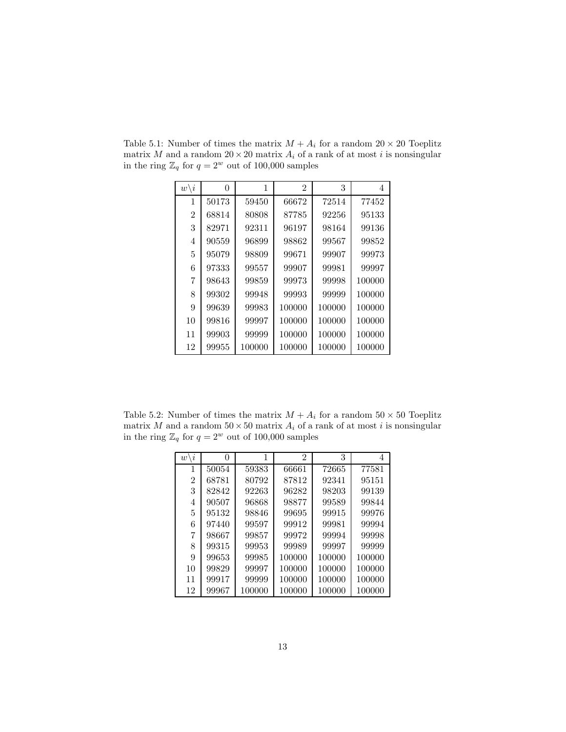| $w \backslash i$ | 0     | 1      | $\mathfrak{D}$ | 3      | 4      |
|------------------|-------|--------|----------------|--------|--------|
| 1                | 50173 | 59450  | 66672          | 72514  | 77452  |
| $\overline{2}$   | 68814 | 80808  | 87785          | 92256  | 95133  |
| 3                | 82971 | 92311  | 96197          | 98164  | 99136  |
| 4                | 90559 | 96899  | 98862          | 99567  | 99852  |
| 5                | 95079 | 98809  | 99671          | 99907  | 99973  |
| 6                | 97333 | 99557  | 99907          | 99981  | 99997  |
| 7                | 98643 | 99859  | 99973          | 99998  | 100000 |
| 8                | 99302 | 99948  | 99993          | 99999  | 100000 |
| 9                | 99639 | 99983  | 100000         | 100000 | 100000 |
| 10               | 99816 | 99997  | 100000         | 100000 | 100000 |
| 11               | 99903 | 99999  | 100000         | 100000 | 100000 |
| 12               | 99955 | 100000 | 100000         | 100000 | 100000 |

Table 5.1: Number of times the matrix  $M + A_i$  for a random  $20 \times 20$  Toeplitz matrix M and a random  $20 \times 20$  matrix  $A_i$  of a rank of at most i is nonsingular in the ring  $\mathbb{Z}_q$  for  $q = 2^w$  out of 100,000 samples

Table 5.2: Number of times the matrix  $M + A_i$  for a random  $50 \times 50$  Toeplitz matrix M and a random  $50 \times 50$  matrix  $A_i$  of a rank of at most i is nonsingular in the ring  $\mathbb{Z}_q$  for  $q = 2^w$  out of 100,000 samples

| $w \backslash i$ | 0     | 1      | 2      | 3      | 4      |
|------------------|-------|--------|--------|--------|--------|
| 1                | 50054 | 59383  | 66661  | 72665  | 77581  |
| $\overline{2}$   | 68781 | 80792  | 87812  | 92341  | 95151  |
| 3                | 82842 | 92263  | 96282  | 98203  | 99139  |
| 4                | 90507 | 96868  | 98877  | 99589  | 99844  |
| 5                | 95132 | 98846  | 99695  | 99915  | 99976  |
| 6                | 97440 | 99597  | 99912  | 99981  | 99994  |
| 7                | 98667 | 99857  | 99972  | 99994  | 99998  |
| 8                | 99315 | 99953  | 99989  | 99997  | 99999  |
| 9                | 99653 | 99985  | 100000 | 100000 | 100000 |
| 10               | 99829 | 99997  | 100000 | 100000 | 100000 |
| 11               | 99917 | 99999  | 100000 | 100000 | 100000 |
| 12               | 99967 | 100000 | 100000 | 100000 | 100000 |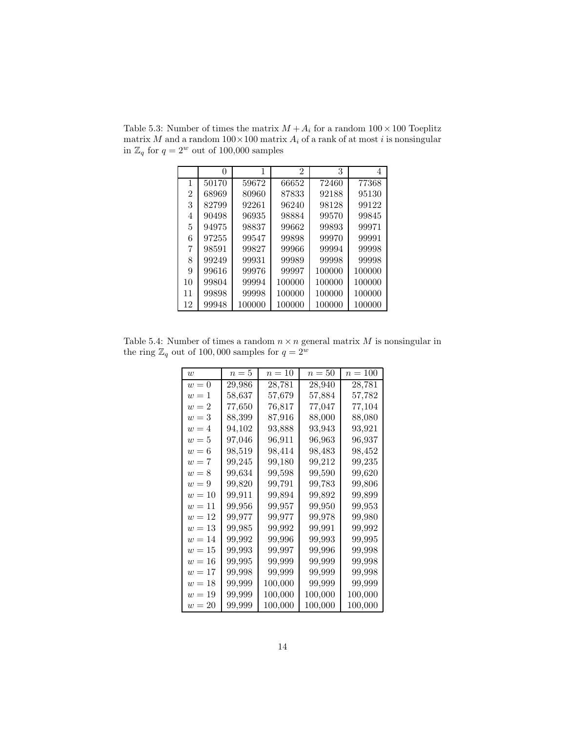|    |       |        | 2      | 3      | 4      |
|----|-------|--------|--------|--------|--------|
| 1  | 50170 | 59672  | 66652  | 72460  | 77368  |
| 2  | 68969 | 80960  | 87833  | 92188  | 95130  |
| 3  | 82799 | 92261  | 96240  | 98128  | 99122  |
| 4  | 90498 | 96935  | 98884  | 99570  | 99845  |
| 5  | 94975 | 98837  | 99662  | 99893  | 99971  |
| 6  | 97255 | 99547  | 99898  | 99970  | 99991  |
| 7  | 98591 | 99827  | 99966  | 99994  | 99998  |
| 8  | 99249 | 99931  | 99989  | 99998  | 99998  |
| 9  | 99616 | 99976  | 99997  | 100000 | 100000 |
| 10 | 99804 | 99994  | 100000 | 100000 | 100000 |
| 11 | 99898 | 99998  | 100000 | 100000 | 100000 |
| 12 | 99948 | 100000 | 100000 | 100000 | 100000 |

Table 5.3: Number of times the matrix  $M + A_i$  for a random  $100 \times 100$  Toeplitz matrix  $M$  and a random  $100\times 100$  matrix  $A_i$  of a rank of at most  $i$  is nonsingular in  $\mathbb{Z}_q$  for  $q=2^w$  out of 100,000 samples

Table 5.4: Number of times a random  $n \times n$  general matrix M is nonsingular in the ring  $\mathbb{Z}_q$  out of 100,000 samples for  $q = 2^w$ 

| $\overline{w}$ | $n=5$  | $n=10$  | $n=50$  | $n=100$ |
|----------------|--------|---------|---------|---------|
| $w=0$          | 29,986 | 28,781  | 28,940  | 28,781  |
| $w=1$          | 58.637 | 57,679  | 57,884  | 57.782  |
| $w=2$          | 77.650 | 76,817  | 77,047  | 77,104  |
| $w=3$          | 88,399 | 87,916  | 88,000  | 88,080  |
| $w=4$          | 94,102 | 93,888  | 93.943  | 93.921  |
| $w=5$          | 97,046 | 96.911  | 96.963  | 96.937  |
| $w=6$          | 98,519 | 98,414  | 98,483  | 98,452  |
| $w=7$          | 99,245 | 99,180  | 99,212  | 99,235  |
| $w=8$          | 99.634 | 99,598  | 99,590  | 99,620  |
| $w=9$          | 99,820 | 99,791  | 99,783  | 99,806  |
| $w=10$         | 99,911 | 99,894  | 99,892  | 99,899  |
| $w=11$         | 99,956 | 99,957  | 99,950  | 99,953  |
| $w=12$         | 99,977 | 99,977  | 99,978  | 99,980  |
| $w=13$         | 99,985 | 99,992  | 99,991  | 99,992  |
| $w=14$         | 99,992 | 99,996  | 99,993  | 99,995  |
| $w=15$         | 99,993 | 99,997  | 99,996  | 99.998  |
| $w=16$         | 99,995 | 99,999  | 99,999  | 99,998  |
| $w=17$         | 99,998 | 99,999  | 99,999  | 99,998  |
| $w=18$         | 99,999 | 100,000 | 99,999  | 99,999  |
| $w=19$         | 99,999 | 100,000 | 100,000 | 100,000 |
| $w=20$         | 99,999 | 100,000 | 100,000 | 100,000 |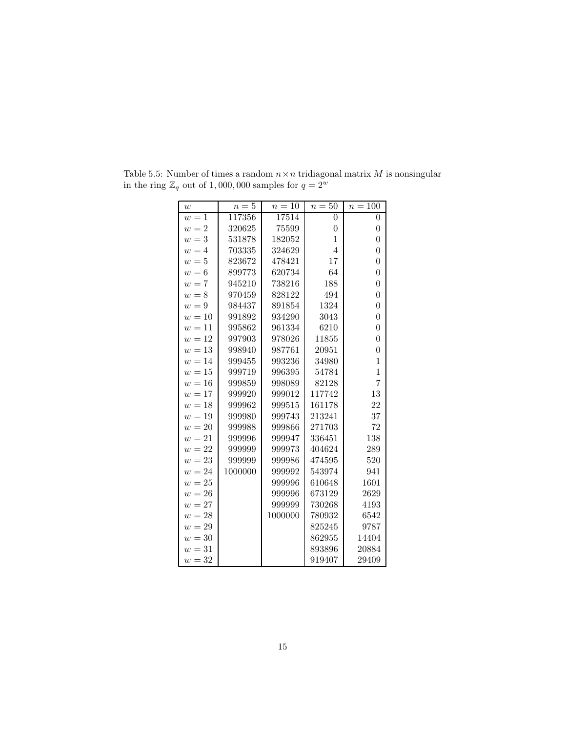| w      | $n=5$   | $n=10$  | $n=50$         | $n=100$          |
|--------|---------|---------|----------------|------------------|
| $w=1$  | 117356  | 17514   | $\overline{0}$ | $\overline{0}$   |
| $w=2$  | 320625  | 75599   | $\overline{0}$ | $\boldsymbol{0}$ |
| $w=3$  | 531878  | 182052  | $\mathbf 1$    | $\overline{0}$   |
| $w=4$  | 703335  | 324629  | $\overline{4}$ | $\overline{0}$   |
| $w=5$  | 823672  | 478421  | 17             | $\overline{0}$   |
| $w=6$  | 899773  | 620734  | 64             | $\overline{0}$   |
| $w=7$  | 945210  | 738216  | 188            | $\overline{0}$   |
| $w=8$  | 970459  | 828122  | 494            | $\overline{0}$   |
| $w=9$  | 984437  | 891854  | 1324           | $\overline{0}$   |
| $w=10$ | 991892  | 934290  | 3043           | $\overline{0}$   |
| $w=11$ | 995862  | 961334  | 6210           | $\overline{0}$   |
| $w=12$ | 997903  | 978026  | 11855          | $\overline{0}$   |
| $w=13$ | 998940  | 987761  | 20951          | $\overline{0}$   |
| $w=14$ | 999455  | 993236  | 34980          | $\overline{1}$   |
| $w=15$ | 999719  | 996395  | 54784          | $\mathbf{1}$     |
| $w=16$ | 999859  | 998089  | 82128          | $\overline{7}$   |
| $w=17$ | 999920  | 999012  | 117742         | 13               |
| $w=18$ | 999962  | 999515  | 161178         | 22               |
| $w=19$ | 999980  | 999743  | 213241         | 37               |
| $w=20$ | 999988  | 999866  | 271703         | 72               |
| $w=21$ | 999996  | 999947  | 336451         | 138              |
| $w=22$ | 999999  | 999973  | 404624         | 289              |
| $w=23$ | 999999  | 999986  | 474595         | 520              |
| $w=24$ | 1000000 | 999992  | 543974         | 941              |
| $w=25$ |         | 999996  | 610648         | 1601             |
| $w=26$ |         | 999996  | 673129         | 2629             |
| $w=27$ |         | 999999  | 730268         | 4193             |
| $w=28$ |         | 1000000 | 780932         | 6542             |
| $w=29$ |         |         | 825245         | 9787             |
| $w=30$ |         |         | 862955         | 14404            |
| $w=31$ |         |         | 893896         | 20884            |
| $w=32$ |         |         | 919407         | 29409            |

Table 5.5: Number of times a random  $n \times n$  tridiagonal matrix  $M$  is nonsingular in the ring  $\mathbb{Z}_q$  out of 1,000,000 samples for  $q = 2^w$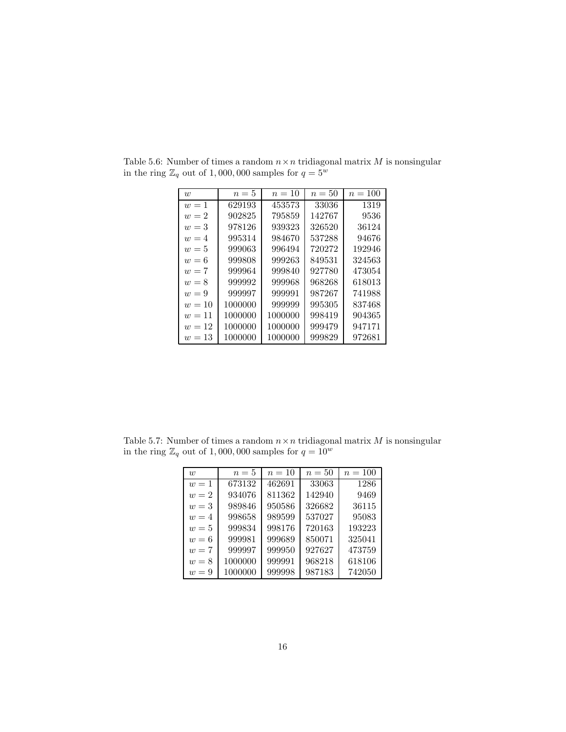| w      | $n=5$   | $n=10$  | $n=50$ | $n = 100$ |
|--------|---------|---------|--------|-----------|
| $w=1$  | 629193  | 453573  | 33036  | 1319      |
| $w=2$  | 902825  | 795859  | 142767 | 9536      |
| $w=3$  | 978126  | 939323  | 326520 | 36124     |
| $w=4$  | 995314  | 984670  | 537288 | 94676     |
| $w=5$  | 999063  | 996494  | 720272 | 192946    |
| $w=6$  | 999808  | 999263  | 849531 | 324563    |
| $w=7$  | 999964  | 999840  | 927780 | 473054    |
| $w=8$  | 999992  | 999968  | 968268 | 618013    |
| $w=9$  | 999997  | 999991  | 987267 | 741988    |
| $w=10$ | 1000000 | 999999  | 995305 | 837468    |
| $w=11$ | 1000000 | 1000000 | 998419 | 904365    |
| $w=12$ | 1000000 | 1000000 | 999479 | 947171    |
| $w=13$ | 1000000 | 1000000 | 999829 | 972681    |

Table 5.6: Number of times a random  $n \times n$  tridiagonal matrix M is nonsingular in the ring  $\mathbb{Z}_q$  out of 1,000,000 samples for  $q = 5^w$ 

Table 5.7: Number of times a random  $n \times n$  tridiagonal matrix M is nonsingular in the ring  $\mathbb{Z}_q$  out of 1,000,000 samples for  $q=10^w$ 

| $\overline{w}$ | $n=5$   | $n=10$ | $n=50$ | $n = 100$ |
|----------------|---------|--------|--------|-----------|
| $w=1$          | 673132  | 462691 | 33063  | 1286      |
| $w=2$          | 934076  | 811362 | 142940 | 9469      |
| $w=3$          | 989846  | 950586 | 326682 | 36115     |
| $w=4$          | 998658  | 989599 | 537027 | 95083     |
| $w=5$          | 999834  | 998176 | 720163 | 193223    |
| $w=6$          | 999981  | 999689 | 850071 | 325041    |
| $w=7$          | 999997  | 999950 | 927627 | 473759    |
| $w=8$          | 1000000 | 999991 | 968218 | 618106    |
| $w = 9$        | 1000000 | 999998 | 987183 | 742050    |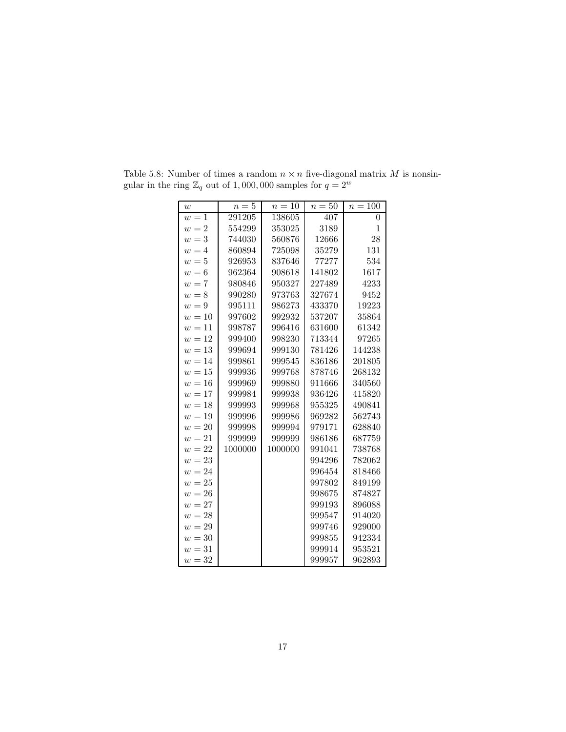| w      | $n=5$   | $n=10$  | $n=50$ | $n=100$        |
|--------|---------|---------|--------|----------------|
| $w=1$  | 291205  | 138605  | 407    | $\overline{0}$ |
| $w=2$  | 554299  | 353025  | 3189   | $\mathbf{1}$   |
| $w=3$  | 744030  | 560876  | 12666  | 28             |
| $w=4$  | 860894  | 725098  | 35279  | 131            |
| $w=5$  | 926953  | 837646  | 77277  | 534            |
| $w=6$  | 962364  | 908618  | 141802 | 1617           |
| $w=7$  | 980846  | 950327  | 227489 | 4233           |
| $w=8$  | 990280  | 973763  | 327674 | 9452           |
| $w=9$  | 995111  | 986273  | 433370 | 19223          |
| $w=10$ | 997602  | 992932  | 537207 | 35864          |
| $w=11$ | 998787  | 996416  | 631600 | 61342          |
| $w=12$ | 999400  | 998230  | 713344 | 97265          |
| $w=13$ | 999694  | 999130  | 781426 | 144238         |
| $w=14$ | 999861  | 999545  | 836186 | 201805         |
| $w=15$ | 999936  | 999768  | 878746 | 268132         |
| $w=16$ | 999969  | 999880  | 911666 | 340560         |
| $w=17$ | 999984  | 999938  | 936426 | 415820         |
| $w=18$ | 999993  | 999968  | 955325 | 490841         |
| $w=19$ | 999996  | 999986  | 969282 | 562743         |
| $w=20$ | 999998  | 999994  | 979171 | 628840         |
| $w=21$ | 999999  | 999999  | 986186 | 687759         |
| $w=22$ | 1000000 | 1000000 | 991041 | 738768         |
| $w=23$ |         |         | 994296 | 782062         |
| $w=24$ |         |         | 996454 | 818466         |
| $w=25$ |         |         | 997802 | 849199         |
| $w=26$ |         |         | 998675 | 874827         |
| $w=27$ |         |         | 999193 | 896088         |
| $w=28$ |         |         | 999547 | 914020         |
| $w=29$ |         |         | 999746 | 929000         |
| $w=30$ |         |         | 999855 | 942334         |
| $w=31$ |         |         | 999914 | 953521         |
| $w=32$ |         |         | 999957 | 962893         |

Table 5.8: Number of times a random  $n \times n$  five-diagonal matrix M is nonsingular in the ring  $\mathbb{Z}_q$  out of 1,000,000 samples for  $q = 2^w$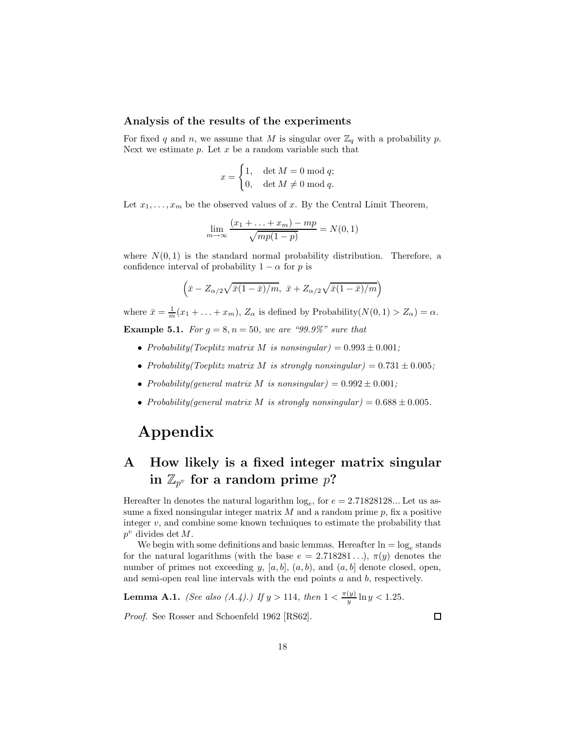#### **Analysis of the results of the experiments**

For fixed q and n, we assume that M is singular over  $\mathbb{Z}_q$  with a probability p. Next we estimate  $p$ . Let  $x$  be a random variable such that

$$
x = \begin{cases} 1, & \det M = 0 \bmod q; \\ 0, & \det M \neq 0 \bmod q. \end{cases}
$$

Let  $x_1, \ldots, x_m$  be the observed values of x. By the Central Limit Theorem,

$$
\lim_{m \to \infty} \frac{(x_1 + \dots + x_m) - mp}{\sqrt{mp(1-p)}} = N(0, 1)
$$

where  $N(0, 1)$  is the standard normal probability distribution. Therefore, a confidence interval of probability  $1 - \alpha$  for p is

$$
\left(\bar{x} - Z_{\alpha/2}\sqrt{\bar{x}(1-\bar{x})/m}, \ \bar{x} + Z_{\alpha/2}\sqrt{\bar{x}(1-\bar{x})/m}\right)
$$

where  $\bar{x} = \frac{1}{m}(x_1 + \ldots + x_m)$ ,  $Z_{\alpha}$  is defined by Probability( $N(0, 1) > Z_{\alpha}$ ) =  $\alpha$ .

**Example 5.1.** *For*  $g = 8, n = 50$ *, we are "99.9%" sure that* 

- *Probability(Toeplitz matrix M is nonsingular)* =  $0.993 \pm 0.001$ ;
- *Probability(Toeplitz matrix M is strongly nonsingular)* =  $0.731 \pm 0.005$ ;
- *Probability(general matrix M is nonsingular)* =  $0.992 \pm 0.001$ ;
- *Probability(general matrix M is strongly nonsingular)* =  $0.688 \pm 0.005$ *.*

### **Appendix**

## **A How likely is a fixed integer matrix singular** in  $\mathbb{Z}_{p^v}$  for a random prime  $p$ **?**

Hereafter ln denotes the natural logarithm  $log_e$ , for  $e = 2.71828128...$  Let us assume a fixed nonsingular integer matrix  $M$  and a random prime  $p$ , fix a positive integer  $v$ , and combine some known techniques to estimate the probability that  $p^v$  divides det M.

We begin with some definitions and basic lemmas. Hereafter  $\ln = \log_e$  stands for the natural logarithms (with the base  $e = 2.718281...$ ),  $\pi(y)$  denotes the number of primes not exceeding y,  $[a, b]$ ,  $(a, b)$ , and  $(a, b]$  denote closed, open, and semi-open real line intervals with the end points  $a$  and  $b$ , respectively.

**Lemma A.1.** (See also (A.4).) If 
$$
y > 114
$$
, then  $1 < \frac{\pi(y)}{y} \ln y < 1.25$ .

*Proof.* See Rosser and Schoenfeld 1962 [RS62].

 $\Box$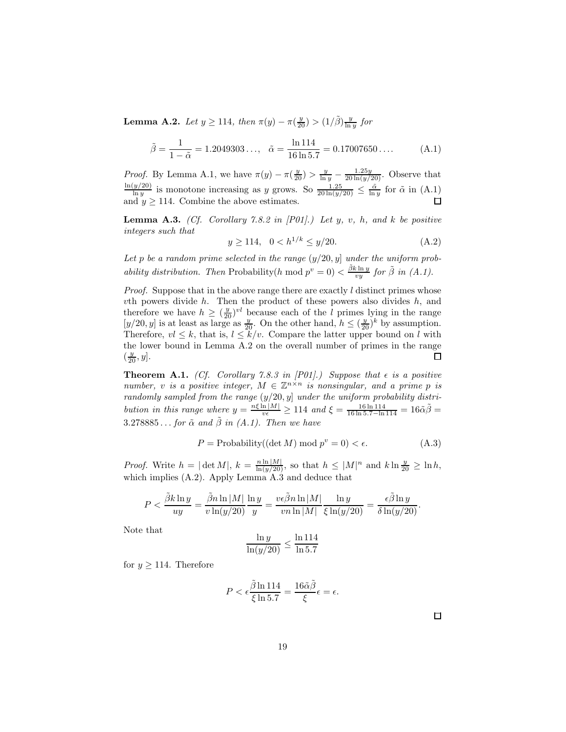**Lemma A.2.** *Let*  $y \ge 114$ *, then*  $\pi(y) - \pi(\frac{y}{20}) > (1/\tilde{\beta})\frac{y}{\ln y}$  *for* 

$$
\tilde{\beta} = \frac{1}{1 - \tilde{\alpha}} = 1.2049303..., \quad \tilde{\alpha} = \frac{\ln 114}{16 \ln 5.7} = 0.17007650.... \tag{A.1}
$$

*Proof.* By Lemma A.1, we have  $\pi(y) - \pi(\frac{y}{20}) > \frac{y}{\ln y} - \frac{1.25y}{20 \ln(y/20)}$ . Observe that  $\frac{\ln(y/20)}{\ln y}$  is monotone increasing as y grows. So  $\frac{1.25}{20 \ln(y/20)} \leq \frac{\tilde{\alpha}}{\ln y}$  for  $\tilde{\alpha}$  in (A.1) and  $y \ge 114$ . Combine the above estimates.

**Lemma A.3.** *(Cf. Corollary 7.8.2 in [P01].) Let* y*,* v*,* h*, and* k *be positive integers such that*

$$
y \ge 114, \quad 0 < h^{1/k} \le y/20. \tag{A.2}
$$

Let  $p$  be a random prime selected in the range  $(y/20, y]$  under the uniform prob*ability distribution. Then* Probability(h mod  $p^v = 0$ )  $\lt \frac{\tilde{\beta}k \ln y}{vy}$  *for*  $\tilde{\beta}$  *in* (A.1).

*Proof.* Suppose that in the above range there are exactly l distinct primes whose  $v$ th powers divide  $h$ . Then the product of these powers also divides  $h$ , and therefore we have  $h \geq (\frac{y}{20})^{vl}$  because each of the l primes lying in the range  $[y/20, y]$  is at least as large as  $\frac{y}{20}$ . On the other hand,  $h \leq (\frac{y}{20})^k$  by assumption. Therefore,  $vl \leq k$ , that is,  $l \leq k/v$ . Compare the latter upper bound on l with the lower bound in Lemma A.2 on the overall number of primes in the range  $(\frac{y}{20}, y]$ .  $\Box$ 

**Theorem A.1.** *(Cf. Corollary 7.8.3 in [P01].)* Suppose that  $\epsilon$  is a positive *number,* v *is a positive integer,*  $M \in \mathbb{Z}^{n \times n}$  *is nonsingular, and a prime p is randomly sampled from the range* (y/20, y] *under the uniform probability distribution in this range where*  $y = \frac{n\xi \ln|M|}{v \epsilon} \ge 114$  *and*  $\xi = \frac{16 \ln 114}{16 \ln 5.7 - \ln 114} = 16\tilde{\alpha}\tilde{\beta}$  $3.278885...$  *for*  $\tilde{\alpha}$  *and*  $\tilde{\beta}$  *in (A.1). Then we have* 

$$
P = \text{Probability}((\det M) \bmod p^v = 0) < \epsilon. \tag{A.3}
$$

*Proof.* Write  $h = |\det M|$ ,  $k = \frac{n \ln |M|}{\ln(y/20)}$ , so that  $h \leq |M|^n$  and  $k \ln \frac{y}{20} \geq \ln h$ , which implies  $(A.2)$ . Apply Lemma  $A.\overline{3}$  and deduce that

$$
P < \frac{\tilde \beta k \ln y}{uy} = \frac{\tilde \beta n \ln |M|}{v \ln (y/20)} \frac{\ln y}{y} = \frac{v \epsilon \tilde \beta n \ln |M|}{v n \ln |M|} \frac{\ln y}{\xi \ln (y/20)} = \frac{\epsilon \tilde \beta \ln y}{\delta \ln (y/20)}.
$$

Note that

$$
\frac{\ln y}{\ln(y/20)} \le \frac{\ln 114}{\ln 5.7}
$$

for  $y \ge 114$ . Therefore

$$
P < \epsilon \frac{\tilde{\beta} \ln 114}{\xi \ln 5.7} = \frac{16 \tilde{\alpha} \tilde{\beta}}{\xi} \epsilon = \epsilon.
$$

 $\Box$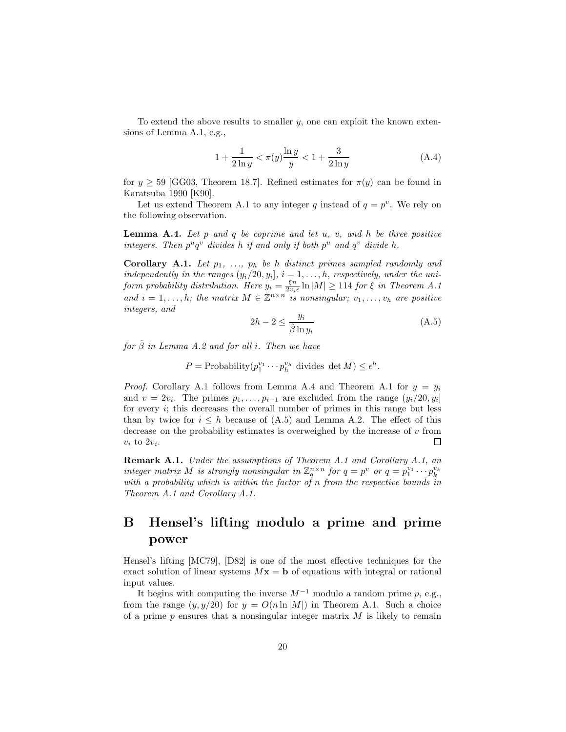To extend the above results to smaller  $y$ , one can exploit the known extensions of Lemma A.1, e.g.,

$$
1 + \frac{1}{2\ln y} < \pi(y) \frac{\ln y}{y} < 1 + \frac{3}{2\ln y} \tag{A.4}
$$

for  $y \ge 59$  [GG03, Theorem 18.7]. Refined estimates for  $\pi(y)$  can be found in Karatsuba 1990 [K90].

Let us extend Theorem A.1 to any integer q instead of  $q = p^v$ . We rely on the following observation.

**Lemma A.4.** *Let* p *and* q *be coprime and let* u*,* v*, and* h *be three positive integers. Then*  $p^u q^v$  *divides* h *if and only if both*  $p^u$  *and*  $q^v$  *divide* h.

**Corollary A.1.** Let  $p_1$ , ...,  $p_h$  be h distinct primes sampled randomly and *independently in the ranges*  $(y_i/20, y_i], i = 1, \ldots, h$ , *respectively, under the uniform probability distribution. Here*  $y_i = \frac{\xi n}{2v_i \epsilon} \ln|M| \geq 114$  *for*  $\xi$  *in Theorem A.1* and  $i = 1, \ldots, h$ ; the matrix  $M \in \mathbb{Z}^{n \times n}$  *is nonsingular*;  $v_1, \ldots, v_h$  are positive *integers, and*

$$
2h - 2 \le \frac{y_i}{\tilde{\beta} \ln y_i} \tag{A.5}
$$

*for* β˜ *in Lemma A.2 and for all* i*. Then we have*

 $P = \text{Probability}(p_1^{v_1} \cdots p_h^{v_h} \text{ divides } \det M) \leq \epsilon^h.$ 

*Proof.* Corollary A.1 follows from Lemma A.4 and Theorem A.1 for  $y = y_i$ and  $v = 2v_i$ . The primes  $p_1, \ldots, p_{i-1}$  are excluded from the range  $(y_i/20, y_i]$ for every i; this decreases the overall number of primes in this range but less than by twice for  $i \leq h$  because of (A.5) and Lemma A.2. The effect of this decrease on the probability estimates is overweighed by the increase of  $v$  from  $v_i$  to  $2v_i$ . П

**Remark A.1.** *Under the assumptions of Theorem A.1 and Corollary A.1, an* integer matrix M is strongly nonsingular in  $\mathbb{Z}_q^{n \times n}$  for  $q = p^v$  or  $q = p_1^{v_1} \cdots p_k^{v_k}$ <br>with a probability which is within the factor of n from the respective bounds in *Theorem A.1 and Corollary A.1.*

### **B Hensel's lifting modulo a prime and prime power**

Hensel's lifting [MC79], [D82] is one of the most effective techniques for the exact solution of linear systems  $Mx = b$  of equations with integral or rational input values.

It begins with computing the inverse  $M^{-1}$  modulo a random prime p, e.g., from the range  $(y, y/20)$  for  $y = O(n \ln|M|)$  in Theorem A.1. Such a choice of a prime  $p$  ensures that a nonsingular integer matrix  $M$  is likely to remain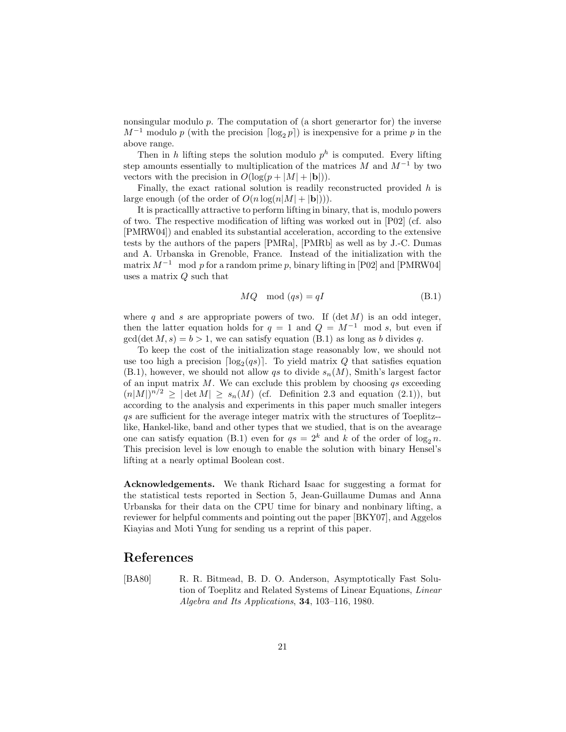nonsingular modulo  $p$ . The computation of (a short generator for) the inverse  $M^{-1}$  modulo p (with the precision  $\lceil \log_2 p \rceil$ ) is inexpensive for a prime p in the above range.

Then in h lifting steps the solution modulo  $p^h$  is computed. Every lifting step amounts essentially to multiplication of the matrices  $M$  and  $M^{-1}$  by two vectors with the precision in  $O(\log(p + |M| + |\mathbf{b}|)).$ 

Finally, the exact rational solution is readily reconstructed provided  $h$  is large enough (of the order of  $O(n \log(n|M| + |\mathbf{b}|))$ ).

It is practicallly attractive to perform lifting in binary, that is, modulo powers of two. The respective modification of lifting was worked out in [P02] (cf. also [PMRW04]) and enabled its substantial acceleration, according to the extensive tests by the authors of the papers [PMRa], [PMRb] as well as by J.-C. Dumas and A. Urbanska in Grenoble, France. Instead of the initialization with the matrix  $M^{-1}$  mod p for a random prime p, binary lifting in [P02] and [PMRW04] uses a matrix Q such that

$$
MQ \mod (qs) = qI \tag{B.1}
$$

where q and s are appropriate powers of two. If  $(\det M)$  is an odd integer, then the latter equation holds for  $q = 1$  and  $Q = M^{-1}$  mod s, but even if  $gcd(det M, s) = b > 1$ , we can satisfy equation (B.1) as long as b divides q.

To keep the cost of the initialization stage reasonably low, we should not use too high a precision  $\lceil \log_2(qs) \rceil$ . To yield matrix Q that satisfies equation  $(B.1)$ , however, we should not allow qs to divide  $s_n(M)$ , Smith's largest factor of an input matrix  $M$ . We can exclude this problem by choosing  $qs$  exceeding  $(n|M|)^{n/2} \geq |\det M| \geq s_n(M)$  (cf. Definition 2.3 and equation (2.1)), but according to the analysis and experiments in this paper much smaller integers qs are sufficient for the average integer matrix with the structures of Toeplitz- like, Hankel-like, band and other types that we studied, that is on the avearage one can satisfy equation (B.1) even for  $qs = 2^k$  and k of the order of  $log_2 n$ . This precision level is low enough to enable the solution with binary Hensel's lifting at a nearly optimal Boolean cost.

**Acknowledgements.** We thank Richard Isaac for suggesting a format for the statistical tests reported in Section 5, Jean-Guillaume Dumas and Anna Urbanska for their data on the CPU time for binary and nonbinary lifting, a reviewer for helpful comments and pointing out the paper [BKY07], and Aggelos Kiayias and Moti Yung for sending us a reprint of this paper.

### **References**

[BA80] R. R. Bitmead, B. D. O. Anderson, Asymptotically Fast Solution of Toeplitz and Related Systems of Linear Equations, *Linear Algebra and Its Applications*, **34**, 103–116, 1980.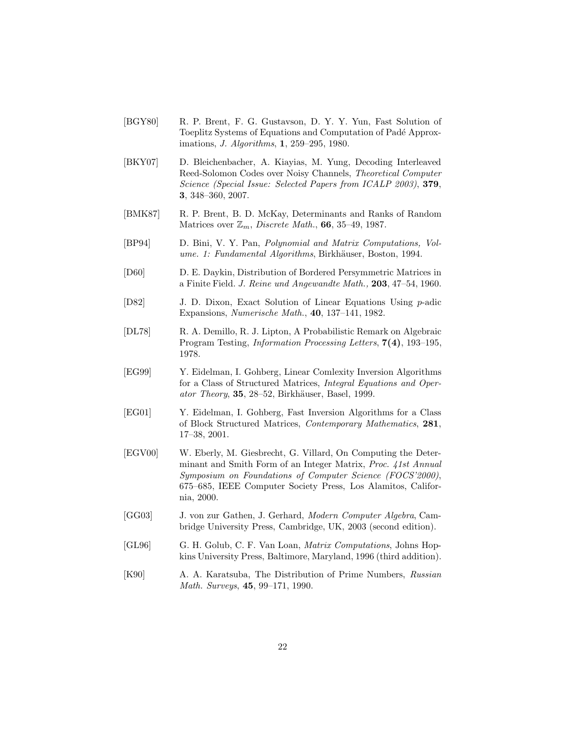- [BGY80] R. P. Brent, F. G. Gustavson, D. Y. Y. Yun, Fast Solution of Toeplitz Systems of Equations and Computation of Padé Approximations, *J. Algorithms*, **1**, 259–295, 1980.
- [BKY07] D. Bleichenbacher, A. Kiayias, M. Yung, Decoding Interleaved Reed-Solomon Codes over Noisy Channels, *Theoretical Computer Science (Special Issue: Selected Papers from ICALP 2003)*, **379**, **3**, 348–360, 2007.
- [BMK87] R. P. Brent, B. D. McKay, Determinants and Ranks of Random Matrices over Zm, *Discrete Math.*, **66**, 35–49, 1987.
- [BP94] D. Bini, V. Y. Pan, *Polynomial and Matrix Computations, Volume. 1: Fundamental Algorithms*, Birkhäuser, Boston, 1994.
- [D60] D. E. Daykin, Distribution of Bordered Persymmetric Matrices in a Finite Field. *J. Reine und Angewandte Math.,* **203**, 47–54, 1960.
- [D82] J. D. Dixon, Exact Solution of Linear Equations Using p-adic Expansions, *Numerische Math.*, **40**, 137–141, 1982.
- [DL78] R. A. Demillo, R. J. Lipton, A Probabilistic Remark on Algebraic Program Testing, *Information Processing Letters*, **7(4)**, 193–195, 1978.
- [EG99] Y. Eidelman, I. Gohberg, Linear Comlexity Inversion Algorithms for a Class of Structured Matrices, *Integral Equations and Operator Theory*, **35**, 28–52, Birkhäuser, Basel, 1999.
- [EG01] Y. Eidelman, I. Gohberg, Fast Inversion Algorithms for a Class of Block Structured Matrices, *Contemporary Mathematics*, **281**, 17–38, 2001.
- [EGV00] W. Eberly, M. Giesbrecht, G. Villard, On Computing the Determinant and Smith Form of an Integer Matrix, *Proc. 41st Annual Symposium on Foundations of Computer Science (FOCS'2000)*, 675–685, IEEE Computer Society Press, Los Alamitos, California, 2000.
- [GG03] J. von zur Gathen, J. Gerhard, *Modern Computer Algebra*, Cambridge University Press, Cambridge, UK, 2003 (second edition).
- [GL96] G. H. Golub, C. F. Van Loan, *Matrix Computations*, Johns Hopkins University Press, Baltimore, Maryland, 1996 (third addition).
- [K90] A. A. Karatsuba, The Distribution of Prime Numbers, *Russian Math. Surveys*, **45**, 99–171, 1990.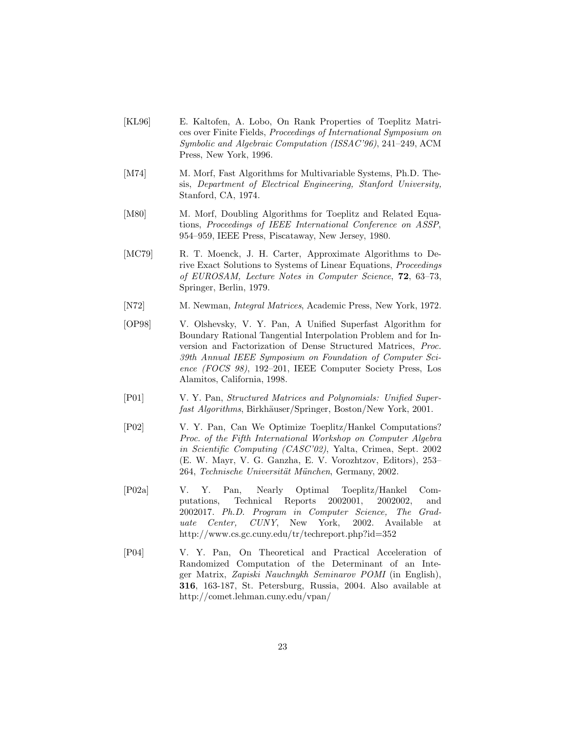- [KL96] E. Kaltofen, A. Lobo, On Rank Properties of Toeplitz Matrices over Finite Fields, *Proceedings of International Symposium on Symbolic and Algebraic Computation (ISSAC'96)*, 241–249, ACM Press, New York, 1996.
- [M74] M. Morf, Fast Algorithms for Multivariable Systems, Ph.D. Thesis, *Department of Electrical Engineering, Stanford University,* Stanford, CA, 1974.
- [M80] M. Morf, Doubling Algorithms for Toeplitz and Related Equations, *Proceedings of IEEE International Conference on ASSP*, 954–959, IEEE Press, Piscataway, New Jersey, 1980.
- [MC79] R. T. Moenck, J. H. Carter, Approximate Algorithms to Derive Exact Solutions to Systems of Linear Equations, *Proceedings of EUROSAM, Lecture Notes in Computer Science*, **72**, 63–73, Springer, Berlin, 1979.
- [N72] M. Newman, *Integral Matrices*, Academic Press, New York, 1972.
- [OP98] V. Olshevsky, V. Y. Pan, A Unified Superfast Algorithm for Boundary Rational Tangential Interpolation Problem and for Inversion and Factorization of Dense Structured Matrices, *Proc. 39th Annual IEEE Symposium on Foundation of Computer Science (FOCS 98)*, 192–201, IEEE Computer Society Press, Los Alamitos, California, 1998.
- [P01] V. Y. Pan, *Structured Matrices and Polynomials: Unified Superfast Algorithms*, Birkhäuser/Springer, Boston/New York, 2001.
- [P02] V. Y. Pan, Can We Optimize Toeplitz/Hankel Computations? *Proc. of the Fifth International Workshop on Computer Algebra in Scientific Computing (CASC'02)*, Yalta, Crimea, Sept. 2002 (E. W. Mayr, V. G. Ganzha, E. V. Vorozhtzov, Editors), 253– 264, *Technische Universität München*, Germany, 2002.
- [P02a] V. Y. Pan, Nearly Optimal Toeplitz/Hankel Computations, Technical Reports 2002001, 2002002, and 2002017. *Ph.D. Program in Computer Science, The Graduate Center, CUNY*, New York, 2002. Available at http://www.cs.gc.cuny.edu/tr/techreport.php?id=352
- [P04] V. Y. Pan, On Theoretical and Practical Acceleration of Randomized Computation of the Determinant of an Integer Matrix, *Zapiski Nauchnykh Seminarov POMI* (in English), **316**, 163-187, St. Petersburg, Russia, 2004. Also available at http://comet.lehman.cuny.edu/vpan/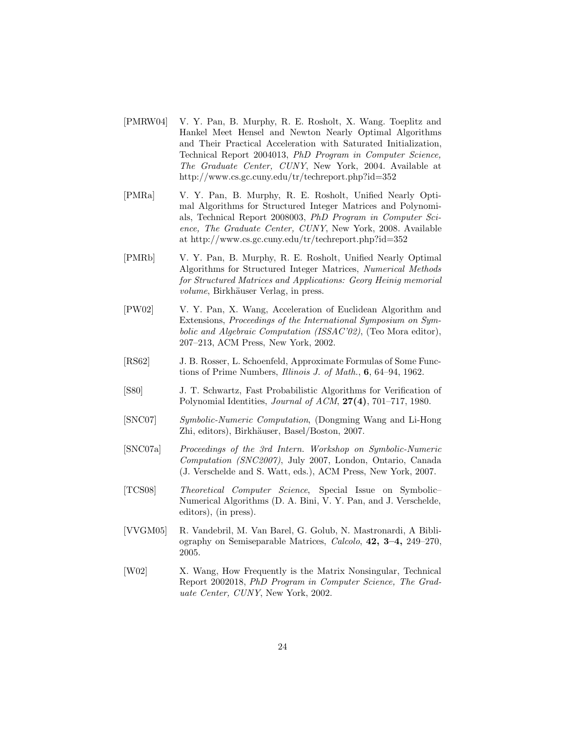- [PMRW04] V. Y. Pan, B. Murphy, R. E. Rosholt, X. Wang. Toeplitz and Hankel Meet Hensel and Newton Nearly Optimal Algorithms and Their Practical Acceleration with Saturated Initialization, Technical Report 2004013, *PhD Program in Computer Science, The Graduate Center, CUNY*, New York, 2004. Available at http://www.cs.gc.cuny.edu/tr/techreport.php?id=352
- [PMRa] V. Y. Pan, B. Murphy, R. E. Rosholt, Unified Nearly Optimal Algorithms for Structured Integer Matrices and Polynomials, Technical Report 2008003, *PhD Program in Computer Science, The Graduate Center, CUNY*, New York, 2008. Available at http://www.cs.gc.cuny.edu/tr/techreport.php?id=352
- [PMRb] V. Y. Pan, B. Murphy, R. E. Rosholt, Unified Nearly Optimal Algorithms for Structured Integer Matrices, *Numerical Methods for Structured Matrices and Applications: Georg Heinig memorial volume*, Birkhäuser Verlag, in press.
- [PW02] V. Y. Pan, X. Wang, Acceleration of Euclidean Algorithm and Extensions, *Proceedings of the International Symposium on Symbolic and Algebraic Computation (ISSAC'02)*, (Teo Mora editor), 207–213, ACM Press, New York, 2002.
- [RS62] J. B. Rosser, L. Schoenfeld, Approximate Formulas of Some Functions of Prime Numbers, *Illinois J. of Math.*, **6**, 64–94, 1962.
- [S80] J. T. Schwartz, Fast Probabilistic Algorithms for Verification of Polynomial Identities, *Journal of ACM*, **27(4)**, 701–717, 1980.
- [SNC07] *Symbolic-Numeric Computation*, (Dongming Wang and Li-Hong Zhi, editors), Birkhäuser, Basel/Boston, 2007.
- [SNC07a] *Proceedings of the 3rd Intern. Workshop on Symbolic-Numeric Computation (SNC2007)*, July 2007, London, Ontario, Canada (J. Verschelde and S. Watt, eds.), ACM Press, New York, 2007.
- [TCS08] *Theoretical Computer Science*, Special Issue on Symbolic– Numerical Algorithms (D. A. Bini, V. Y. Pan, and J. Verschelde, editors), (in press).
- [VVGM05] R. Vandebril, M. Van Barel, G. Golub, N. Mastronardi, A Bibliography on Semiseparable Matrices, *Calcolo*, **42, 3–4,** 249–270, 2005.
- [W02] X. Wang, How Frequently is the Matrix Nonsingular, Technical Report 2002018, *PhD Program in Computer Science, The Graduate Center, CUNY*, New York, 2002.